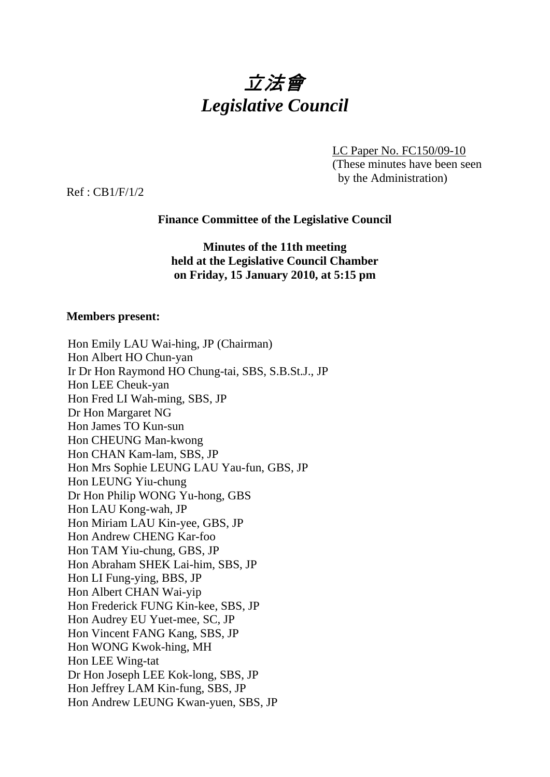

LC Paper No. FC150/09-10 (These minutes have been seen by the Administration)

Ref : CB1/F/1/2

# **Finance Committee of the Legislative Council**

**Minutes of the 11th meeting held at the Legislative Council Chamber on Friday, 15 January 2010, at 5:15 pm** 

#### **Members present:**

| Hon Emily LAU Wai-hing, JP (Chairman)              |
|----------------------------------------------------|
| Hon Albert HO Chun-yan                             |
| Ir Dr Hon Raymond HO Chung-tai, SBS, S.B.St.J., JP |
| Hon LEE Cheuk-yan                                  |
| Hon Fred LI Wah-ming, SBS, JP                      |
| Dr Hon Margaret NG                                 |
| Hon James TO Kun-sun                               |
| Hon CHEUNG Man-kwong                               |
| Hon CHAN Kam-lam, SBS, JP                          |
| Hon Mrs Sophie LEUNG LAU Yau-fun, GBS, JP          |
| Hon LEUNG Yiu-chung                                |
| Dr Hon Philip WONG Yu-hong, GBS                    |
| Hon LAU Kong-wah, JP                               |
| Hon Miriam LAU Kin-yee, GBS, JP                    |
| Hon Andrew CHENG Kar-foo                           |
| Hon TAM Yiu-chung, GBS, JP                         |
| Hon Abraham SHEK Lai-him, SBS, JP                  |
| Hon LI Fung-ying, BBS, JP                          |
| Hon Albert CHAN Wai-yip                            |
| Hon Frederick FUNG Kin-kee, SBS, JP                |
| Hon Audrey EU Yuet-mee, SC, JP                     |
| Hon Vincent FANG Kang, SBS, JP                     |
| Hon WONG Kwok-hing, MH                             |
| Hon LEE Wing-tat                                   |
| Dr Hon Joseph LEE Kok-long, SBS, JP                |
| Hon Jeffrey LAM Kin-fung, SBS, JP                  |
| Hon Andrew LEUNG Kwan-yuen, SBS, JP                |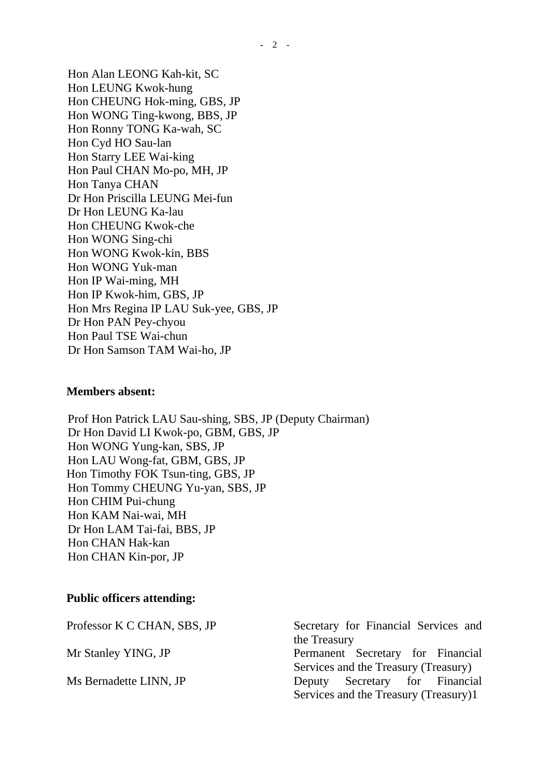Hon Alan LEONG Kah-kit, SC Hon LEUNG Kwok-hung Hon CHEUNG Hok-ming, GBS, JP Hon WONG Ting-kwong, BBS, JP Hon Ronny TONG Ka-wah, SC Hon Cyd HO Sau-lan Hon Starry LEE Wai-king Hon Paul CHAN Mo-po, MH, JP Hon Tanya CHAN Dr Hon Priscilla LEUNG Mei-fun Dr Hon LEUNG Ka-lau Hon CHEUNG Kwok-che Hon WONG Sing-chi Hon WONG Kwok-kin, BBS Hon WONG Yuk-man Hon IP Wai-ming, MH Hon IP Kwok-him, GBS, JP Hon Mrs Regina IP LAU Suk-yee, GBS, JP Dr Hon PAN Pey-chyou Hon Paul TSE Wai-chun Dr Hon Samson TAM Wai-ho, JP

#### **Members absent:**

Prof Hon Patrick LAU Sau-shing, SBS, JP (Deputy Chairman) Dr Hon David LI Kwok-po, GBM, GBS, JP Hon WONG Yung-kan, SBS, JP Hon LAU Wong-fat, GBM, GBS, JP Hon Timothy FOK Tsun-ting, GBS, JP Hon Tommy CHEUNG Yu-yan, SBS, JP Hon CHIM Pui-chung Hon KAM Nai-wai, MH Dr Hon LAM Tai-fai, BBS, JP Hon CHAN Hak-kan Hon CHAN Kin-por, JP

#### **Public officers attending:**

| Professor K C CHAN, SBS, JP | Secretary for Financial Services and  |
|-----------------------------|---------------------------------------|
|                             | the Treasury                          |
| Mr Stanley YING, JP         | Permanent Secretary for Financial     |
|                             | Services and the Treasury (Treasury)  |
| Ms Bernadette LINN, JP      | Deputy Secretary for Financial        |
|                             | Services and the Treasury (Treasury)1 |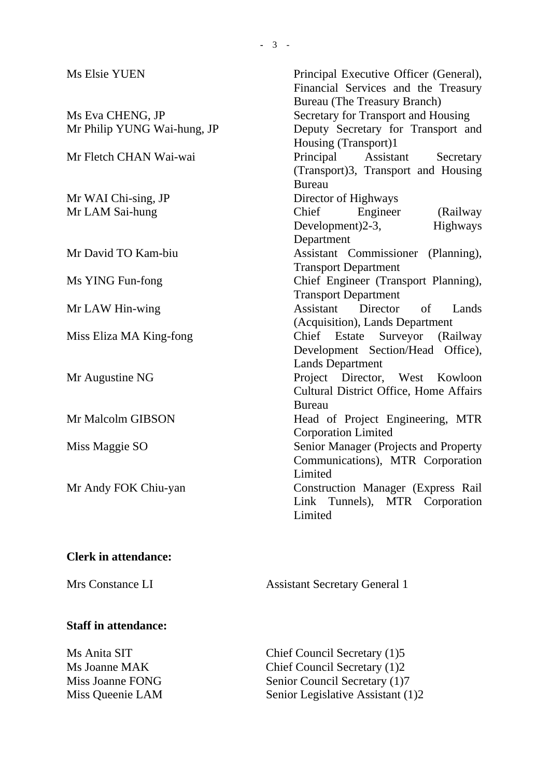| Ms Elsie YUEN               | Principal Executive Officer (General),<br>Financial Services and the Treasury |
|-----------------------------|-------------------------------------------------------------------------------|
|                             | <b>Bureau</b> (The Treasury Branch)                                           |
| Ms Eva CHENG, JP            | Secretary for Transport and Housing                                           |
| Mr Philip YUNG Wai-hung, JP | Deputy Secretary for Transport and                                            |
|                             | Housing (Transport)1                                                          |
| Mr Fletch CHAN Wai-wai      | Principal Assistant Secretary                                                 |
|                             | (Transport)3, Transport and Housing                                           |
|                             | <b>Bureau</b>                                                                 |
| Mr WAI Chi-sing, JP         | Director of Highways                                                          |
| Mr LAM Sai-hung             | Engineer<br>Chief<br>(Railway                                                 |
|                             | Highways<br>Development) $2-3$ ,                                              |
|                             | Department                                                                    |
| Mr David TO Kam-biu         | Assistant Commissioner (Planning),                                            |
|                             | <b>Transport Department</b>                                                   |
| Ms YING Fun-fong            | Chief Engineer (Transport Planning),                                          |
|                             | <b>Transport Department</b>                                                   |
| Mr LAW Hin-wing             | Assistant Director<br>Lands<br>of                                             |
|                             | (Acquisition), Lands Department                                               |
| Miss Eliza MA King-fong     | Surveyor (Railway<br>Chief Estate                                             |
|                             | Development Section/Head Office),                                             |
|                             | <b>Lands Department</b>                                                       |
| Mr Augustine NG             | Project Director, West Kowloon                                                |
|                             | <b>Cultural District Office, Home Affairs</b>                                 |
|                             | <b>Bureau</b>                                                                 |
| Mr Malcolm GIBSON           | Head of Project Engineering, MTR                                              |
|                             | <b>Corporation Limited</b>                                                    |
| Miss Maggie SO              | Senior Manager (Projects and Property                                         |
|                             | Communications), MTR Corporation                                              |
|                             | Limited                                                                       |
| Mr Andy FOK Chiu-yan        | Construction Manager (Express Rail                                            |
|                             | Link Tunnels), MTR Corporation                                                |
|                             | Limited                                                                       |

# **Clerk in attendance:**

Mrs Constance LI Assistant Secretary General 1

# **Staff in attendance:**

Ms Anita SIT Chief Council Secretary (1)5 Ms Joanne MAK Chief Council Secretary (1)2 Miss Joanne FONG Senior Council Secretary (1)7<br>Miss Queenie LAM Senior Legislative Assistant (1) Senior Legislative Assistant (1)2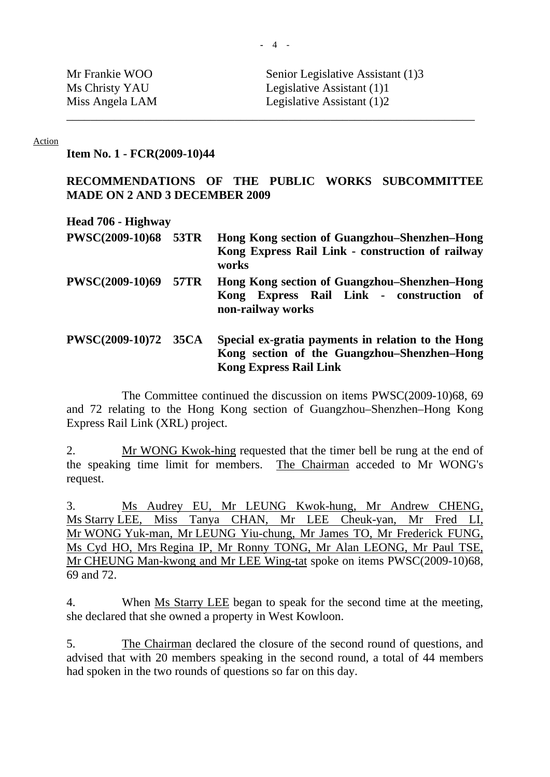| Mr Frankie WOO  | Senior Legislative Assistant (1)3 |
|-----------------|-----------------------------------|
| Ms Christy YAU  | Legislative Assistant $(1)1$      |
| Miss Angela LAM | Legislative Assistant (1)2        |

\_\_\_\_\_\_\_\_\_\_\_\_\_\_\_\_\_\_\_\_\_\_\_\_\_\_\_\_\_\_\_\_\_\_\_\_\_\_\_\_\_\_\_\_\_\_\_\_\_\_\_\_\_\_\_\_\_\_\_\_\_\_\_\_\_\_\_\_

#### Action

**Item No. 1 - FCR(2009-10)44** 

# **RECOMMENDATIONS OF THE PUBLIC WORKS SUBCOMMITTEE MADE ON 2 AND 3 DECEMBER 2009**

| Head 706 - Highway   |                                                                                                                                    |
|----------------------|------------------------------------------------------------------------------------------------------------------------------------|
| PWSC(2009-10)68 53TR | Hong Kong section of Guangzhou–Shenzhen–Hong<br>Kong Express Rail Link - construction of railway<br>works                          |
| PWSC(2009-10)69 57TR | Hong Kong section of Guangzhou–Shenzhen–Hong<br>Kong Express Rail Link - construction of<br>non-railway works                      |
| PWSC(2009-10)72 35CA | Special ex-gratia payments in relation to the Hong<br>Kong section of the Guangzhou-Shenzhen-Hong<br><b>Kong Express Rail Link</b> |

 The Committee continued the discussion on items PWSC(2009-10)68, 69 and 72 relating to the Hong Kong section of Guangzhou–Shenzhen–Hong Kong Express Rail Link (XRL) project.

2. Mr WONG Kwok-hing requested that the timer bell be rung at the end of the speaking time limit for members. The Chairman acceded to Mr WONG's request.

3. Ms Audrey EU, Mr LEUNG Kwok-hung, Mr Andrew CHENG, Ms Starry LEE, Miss Tanya CHAN, Mr LEE Cheuk-yan, Mr Fred LI, Mr WONG Yuk-man, Mr LEUNG Yiu-chung, Mr James TO, Mr Frederick FUNG, Ms Cyd HO, Mrs Regina IP, Mr Ronny TONG, Mr Alan LEONG, Mr Paul TSE, Mr CHEUNG Man-kwong and Mr LEE Wing-tat spoke on items PWSC(2009-10)68, 69 and 72.

4. When Ms Starry LEE began to speak for the second time at the meeting, she declared that she owned a property in West Kowloon.

5. The Chairman declared the closure of the second round of questions, and advised that with 20 members speaking in the second round, a total of 44 members had spoken in the two rounds of questions so far on this day.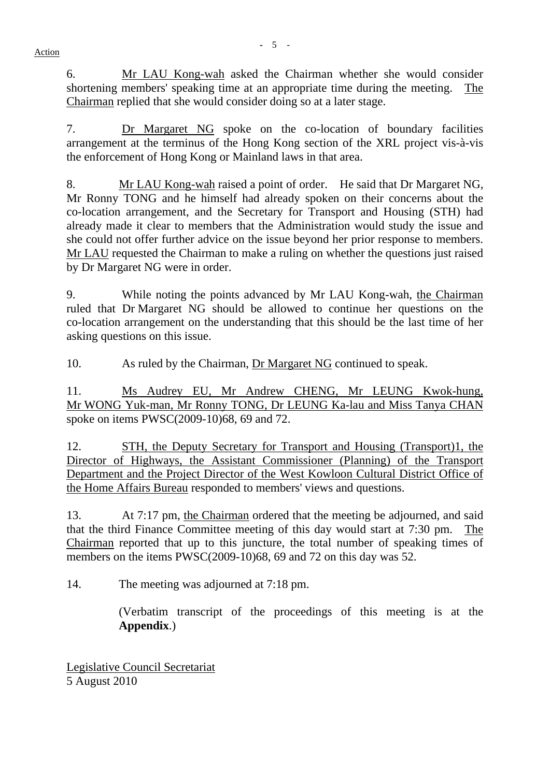6. Mr LAU Kong-wah asked the Chairman whether she would consider shortening members' speaking time at an appropriate time during the meeting. The Chairman replied that she would consider doing so at a later stage.

7. Dr Margaret NG spoke on the co-location of boundary facilities arrangement at the terminus of the Hong Kong section of the XRL project vis-à-vis the enforcement of Hong Kong or Mainland laws in that area.

8. Mr LAU Kong-wah raised a point of order. He said that Dr Margaret NG, Mr Ronny TONG and he himself had already spoken on their concerns about the co-location arrangement, and the Secretary for Transport and Housing (STH) had already made it clear to members that the Administration would study the issue and she could not offer further advice on the issue beyond her prior response to members. Mr LAU requested the Chairman to make a ruling on whether the questions just raised by Dr Margaret NG were in order.

9. While noting the points advanced by Mr LAU Kong-wah, the Chairman ruled that Dr Margaret NG should be allowed to continue her questions on the co-location arrangement on the understanding that this should be the last time of her asking questions on this issue.

10. As ruled by the Chairman, Dr Margaret NG continued to speak.

11. Ms Audrey EU, Mr Andrew CHENG, Mr LEUNG Kwok-hung, Mr WONG Yuk-man, Mr Ronny TONG, Dr LEUNG Ka-lau and Miss Tanya CHAN spoke on items PWSC(2009-10)68, 69 and 72.

12. STH, the Deputy Secretary for Transport and Housing (Transport)1, the Director of Highways, the Assistant Commissioner (Planning) of the Transport Department and the Project Director of the West Kowloon Cultural District Office of the Home Affairs Bureau responded to members' views and questions.

13. At 7:17 pm, the Chairman ordered that the meeting be adjourned, and said that the third Finance Committee meeting of this day would start at 7:30 pm. The Chairman reported that up to this juncture, the total number of speaking times of members on the items PWSC(2009-10)68, 69 and 72 on this day was 52.

14. The meeting was adjourned at 7:18 pm.

(Verbatim transcript of the proceedings of this meeting is at the **Appendix**.)

Legislative Council Secretariat 5 August 2010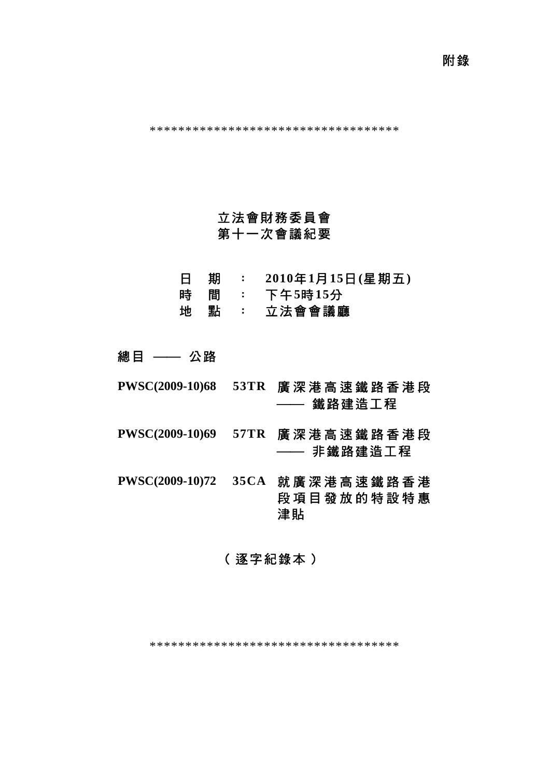\*\*\*\*\*\*\*\*\*\*\*\*\*\*\*\*\*\*\*\*\*\*\*\*\*\*\*\*\*\*\*\*\*\*\*

# 立法會財務委員會 第十一次會議紀要

- 日 期 : **2010**年**1**月**15**日**(**星期五**)**
- 時 間 : 下午**5**時**15**分
- 地 點 : 立法會會議廳

# 總目 —— 公路

- **PWSC(2009-10)68 53TR** 廣深港高速鐵路香港段 —— 鐵路建浩工程
- **PWSC(2009-10)69 57TR** 廣深港高速鐵路香港段 —— 非鐵路建造工程
- **PWSC(2009-10)72 35CA** 就廣深港高速鐵路香港 段項目發放的特設特惠 津貼

# (逐字紀錄本)

\*\*\*\*\*\*\*\*\*\*\*\*\*\*\*\*\*\*\*\*\*\*\*\*\*\*\*\*\*\*\*\*\*\*\*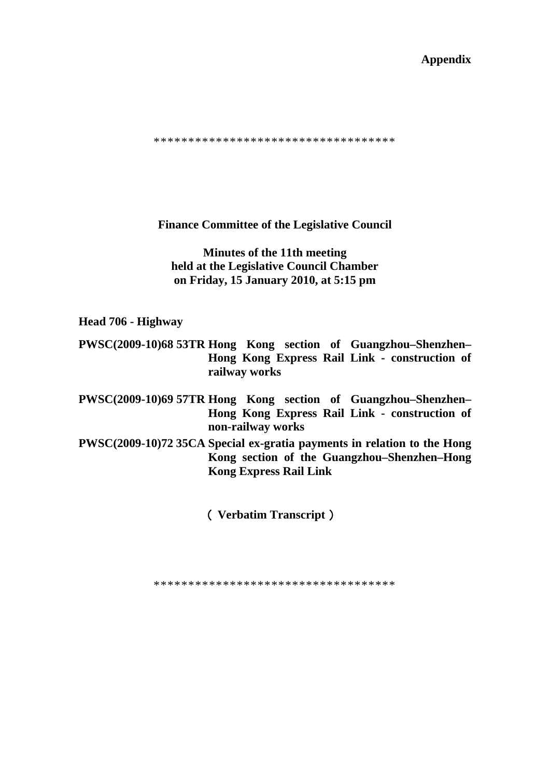**Appendix** 

\*\*\*\*\*\*\*\*\*\*\*\*\*\*\*\*\*\*\*\*\*\*\*\*\*\*\*\*\*\*\*\*\*\*\*

**Finance Committee of the Legislative Council** 

**Minutes of the 11th meeting held at the Legislative Council Chamber on Friday, 15 January 2010, at 5:15 pm** 

**Head 706 - Highway** 

**PWSC(2009-10)68 53TR Hong Kong section of Guangzhou–Shenzhen– Hong Kong Express Rail Link - construction of railway works** 

**PWSC(2009-10)69 57TR Hong Kong section of Guangzhou–Shenzhen– Hong Kong Express Rail Link - construction of non-railway works** 

**PWSC(2009-10)72 35CA Special ex-gratia payments in relation to the Hong Kong section of the Guangzhou–Shenzhen–Hong Kong Express Rail Link** 

(**Verbatim Transcript**)

\*\*\*\*\*\*\*\*\*\*\*\*\*\*\*\*\*\*\*\*\*\*\*\*\*\*\*\*\*\*\*\*\*\*\*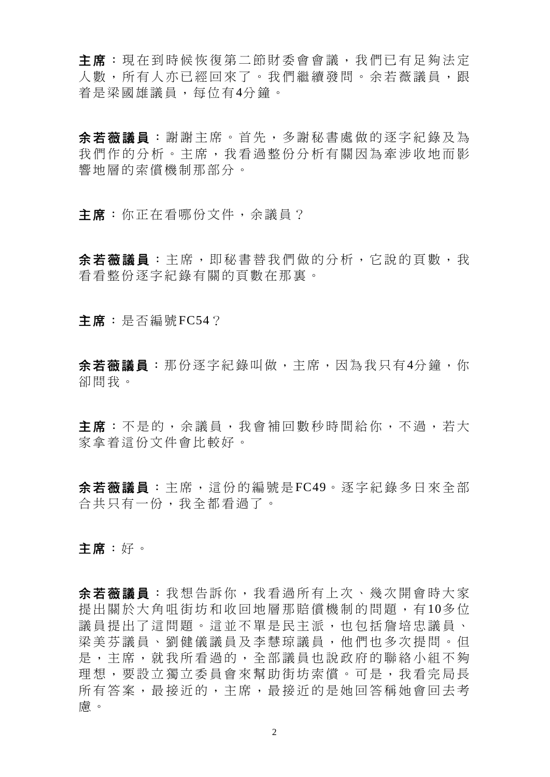主席:現在到時候恢復第二節財委會會議,我們已有足夠法定 人數,所有人亦已經回來了。我們繼續發問。余若薇議員,跟 着是梁國雄議員,每位有4分鐘。

余若薇議員 :謝謝主席。首先,多謝秘書處做的逐字紀錄及為 我們作的分析。主席,我看過整份分析有關因為牽涉收地而影 響地層的索償機制那部分。

主席:你正在看哪份文件,余議員?

余若薇議員:主席,即秘書替我們做的分析,它說的頁數,我 看看整份逐字紀錄有關的頁數在那裏。

主席:是否編號FC54?

余若薇議員:那份逐字紀錄叫做,主席,因為我只有4分鐘,你 卻問我。

主席:不是的,余議員,我會補回數秒時間給你,不過,若大 家拿着這份文件會比較好。

余若薇議員:主席,這份的編號是FC49。逐字紀錄多日來全部 合共只有一份,我全都看過了。

主席:好。

余若薇議員 :我想告訴你,我看過所有上次、幾次開會時大家 提出關於大角咀街坊和收回地層那賠償機制的問題,有10多位 議員提出了這問題。這並不單是民主派,也包括詹培忠議員、 梁美芬議員、劉健儀議員及李慧琼議員,他們也多次提問。但 是,主席,就我所看過的,全部議員也說政府的聯絡小組不夠 理想,要設立獨立委員會來幫助街坊索償。可是,我看完局長 所有答案,最接近的,主席,最接近的是她回答稱她會回去考 慮。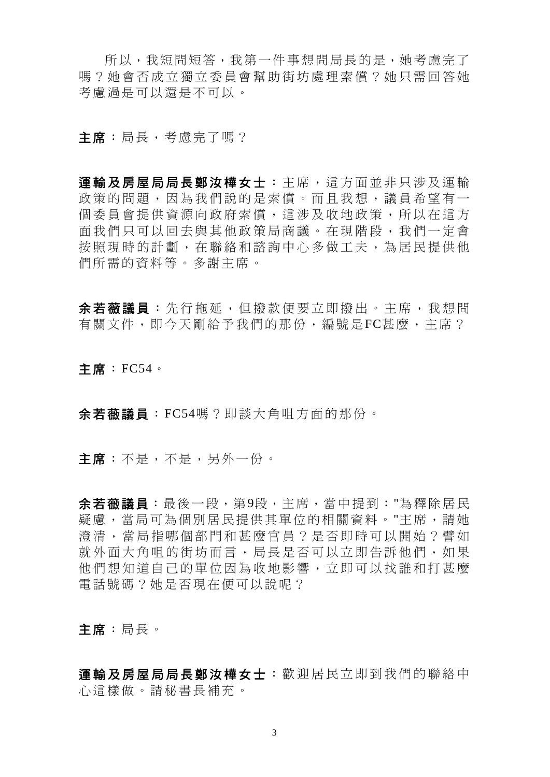所以,我短問短答,我第一件事想問局長的是,她考慮完了 嗎?她會否成立獨立委員會幫助街坊處理索償?她只需回答她 考慮過是可以還是不可以。

# 主席:局長,考慮完了嗎?

運輸及房屋局局長鄭汝樺女士:主席,這方面並非只涉及運輸 政策的問題,因為我們說的是索償。而且我想,議員希望有一 個委員會提供資源向政府索償,這涉及收地政策,所以在這方 面我們只可以回去與其他政策局商議。在現階段,我們一定會 按照現時的計劃,在聯絡和諮詢中心多做工夫,為居民提供他 們所需的資料等。多謝主席。

余若薇議員 :先行拖延,但撥款便要立即撥出。主席,我想問 有關文件,即今天剛給予我們的那份,編號是FC甚麼,主席?

主席:FC54。

余若薇議員:FC54嗎?即談大角咀方面的那份。

主席:不是,不是,另外一份。

余若薇議員:最後一段,第9段,主席,當中提到:"為釋除居民 疑慮,當局可為個別居民提供其單位的相關資料。"主席,請她 澄清,當局指哪個部門和甚麼官員?是否即時可以開始?譬如 就外面大角咀的街坊而言,局長是否可以立即告訴他們,如果 他們想知道自己的單位因為收地影響,立即可以找誰和打甚麼 電話號碼?她是否現在便可以說呢?

主席:局長。

運輸及房屋局局長鄭汝樺女士:歡迎居民立即到我們的聯絡中 心這樣做。請秘書長補充。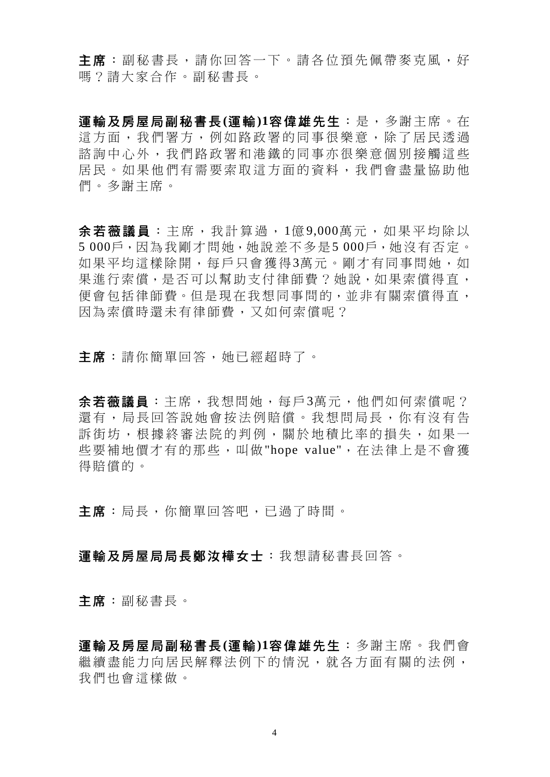主席:副秘書長,請你回答一下。請各位預先佩帶麥克風,好 嗎?請大家合作。副秘書長。

運輸及房屋局副秘書長**(**運輸**)1**容偉雄先生:是,多謝主席。在 這方面,我們署方,例如路政署的同事很樂意,除了居民透過 諮詢中心外,我們路政署和港鐵的同事亦很樂意個別接觸這些 居民。如果他們有需要索取這方面的資料,我們會盡量協助他 們。多謝主席。

余若薇議員 :主席,我計算過, 1億 9,000萬元,如果平均除以 5 000戶,因為我剛才問她,她說差不多是5 000戶,她沒有否定。 如果平均這樣除開,每戶只會獲得3萬元。剛才有同事問她,如 果進行索償,是否可以幫助支付律師費?她說,如果索償得直, 便會包括律師費。但是現在我想同事問的,並非有關索償得直, 因為索償時還未有律師費,又如何索償呢?

主席:請你簡單回答,她已經超時了。

余若薇議員:主席,我想問她,每戶3萬元,他們如何索償呢? 還有,局長回答說她會按法例賠償。我想問局長,你有沒有告 訴街坊,根據終審法院的判例,關於地積比率的損失,如果一 些要補地價才有的那些,叫做"hope value",在法律上是不會獲 得賠償的。

主席:局長,你簡單回答吧,已過了時間。

# 運輸及房屋局局長鄭汝樺女士:我想請秘書長回答。

主席:副秘書長。

運輸及房屋局副秘書長**(**運輸**)1**容偉雄先生:多謝主席。我們會 繼續盡能力向居民解釋法例下的情況,就各方面有關的法例, 我們也會這樣做。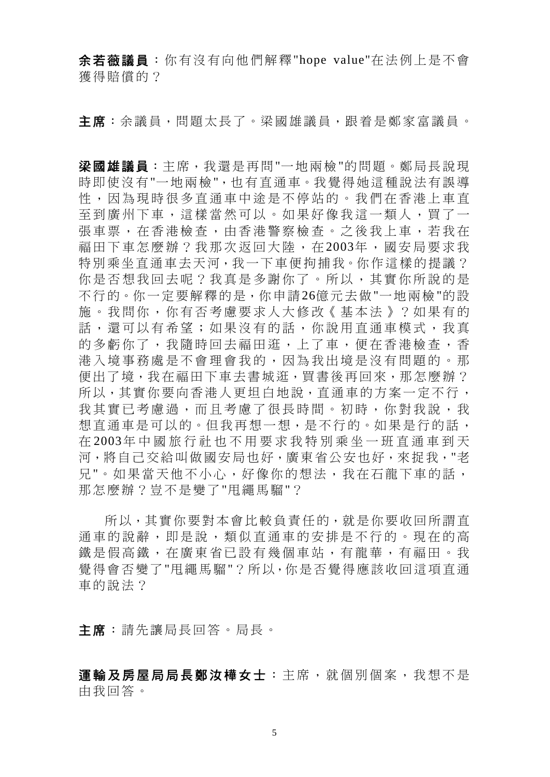余若薇議員:你有沒有向他們解釋"hope value"在法例上是不會 獲得賠償的?

主席:余議員,問題太長了。梁國雄議員,跟着是鄭家富議員。

梁國雄議員:主席,我還是再問"一地兩檢"的問題。鄭局長說現 時即使沒有"一地兩檢",也有直通車。我覺得她這種說法有誤導 性,因為現時很多直通車中途是不停站的。我們在香港上車直 至到廣州下車,這樣當然可以。如果好像我這一類人,買了一 張車票,在香港檢查,由香港警察檢查。之後我上車,若我在 福田下車怎麼辦?我那次返回大陸, 在 2003年, 國安局要求我 特別乘坐直通車去天河,我一下車便拘捕我。你作這樣的提議? 你是否想我回去呢?我真是多謝你了。所以,其實你所說的是 不行的。你一定要解釋的是,你申請26億元去做"一地兩檢"的設 施。我問你,你有否考慮要求人大修改《基本法》?如果有的 話,還可以有希望;如果沒有的話,你說用直通車模式,我真 的多虧你了,我隨時回去福田逛,上了車,便在香港檢查,香 港入境事務處是不會理會我的,因為我出境是沒有問題的。那 便出了境,我在福田下車去書城逛,買書後再回來,那怎麼辦? 所以,其實你要向香港人更坦白地說,直通車的方案一定不行, 我其實已考慮過,而且考慮了很長時間。初時,你對我說,我 想直通車是可以的。但我再想一想,是不行的。如果是行的話, 在 2003年中國旅行社也不用要求我 特別乘坐一班直通車到天 河,將自己交給叫做國安局也好,廣東省公安也好,來捉我,"老 兄"。如果當天他不小心,好像你的想法,我在石龍下車的話, 那怎麼辦?豈不是變了"甩繩馬騮"?

所以,其實你要對本會比較負責任的,就是你要收回所謂直 通車的說辭,即是說,類似直通車的安排是不行的。現在的高 鐵是假高鐵,在廣東省已設有幾個車站,有龍華,有福田。我 覺得會否變了"甩繩馬騮"?所以,你是否覺得應該收回這項直通 車的說法?

主席:請先讓局長回答。局長。

運輸及房屋局局長鄭汝樺女士:主席,就個別個案,我想不是 由我回答。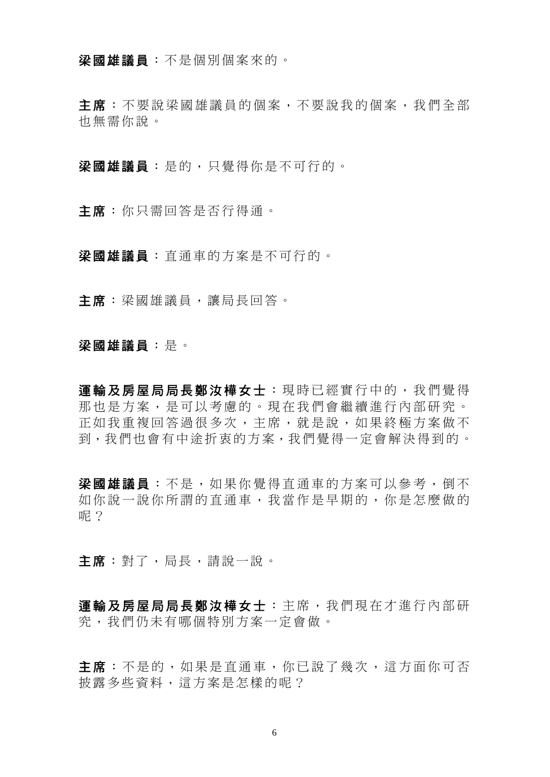#### 梁國雄議員:不是個別個案來的。

主席:不要說梁國雄議員的個案,不要說我的個案,我們全部 也無需你說。

**梁國雄議員**:是的,只覺得你是不可行的。

主席:你只需回答是否行得通。

梁國雄議員:直通車的方案是不可行的。

主席:梁國雄議員,讓局長回答。

#### 梁國雄議員:是。

軍輸及房屋局局長鄭汝樺女士:現時已經實行中的,我們覺得 那也是方案,是可以考慮的。現在我們會繼續進行內部研究。 正如我重複回答過很多次,主席,就是說,如果終極方案做不 到,我們也會有中途折衷的方案,我們覺得一定會解決得到的。

梁國雄議員:不是,如果你覺得直通車的方案可以參考,倒不 如你說一說你所謂的直通車,我當作是早期的,你是怎麼做的 呢?

主席:對了,局長,請說一說。

運輸及房屋局局長鄭汝樺女士:主席,我們現在才進行內部研 究,我們仍未有哪個特別方案一定會做。

主席:不是的,如果是直通車,你已說了幾次,這方面你可否 披露多些資料,這方案是怎樣的呢?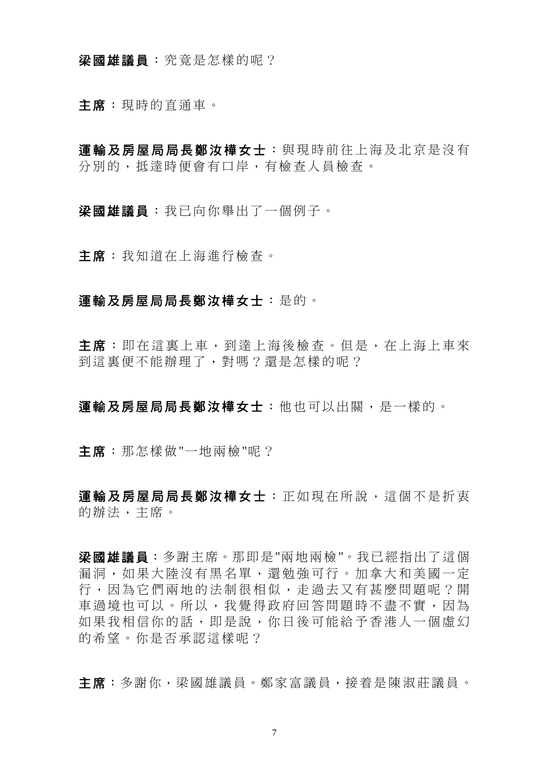梁國雄議員:究竟是怎樣的呢?

主席:現時的直通車。

運輸及房屋局局長鄭汝樺女士:與現時前往上海及北京是沒有 分別的,抵達時便會有口岸,有檢查人員檢查。

梁國雄議員:我已向你舉出了一個例子。

主席:我知道在上海進行檢查。

# 運輸及房屋局局長鄭汝樺女士:是的。

主席:即在這裏上車,到達上海後檢查。但是,在上海上車來 到這裏便不能辦理了,對嗎?還是怎樣的呢?

運輸及房屋局局長鄭汝樺女士:他也可以出關,是一樣的。

主席:那怎樣做"一地兩檢"呢?

軍輪及房屋局局長鄭汝樺女士:正如現在所說,這個不是折衷 的辦法,主席。

梁國雄議員:多謝主席。那即是"兩地兩檢"。我已經指出了這個 漏洞,如果大陸沒有黑名單,還勉強可行。加拿大和美國一定 行,因為它們兩地的法制很相似,走過去又有甚麼問題呢?開 車過境也可以。所以,我覺得政府回答問題時不盡不實,因為 如果我相信你的話,即是說,你日後可能給予香港人一個虛幻 的希望。你是否承認這樣呢?

主席:多謝你,梁國雄議員。鄭家富議員,接着是陳淑莊議員。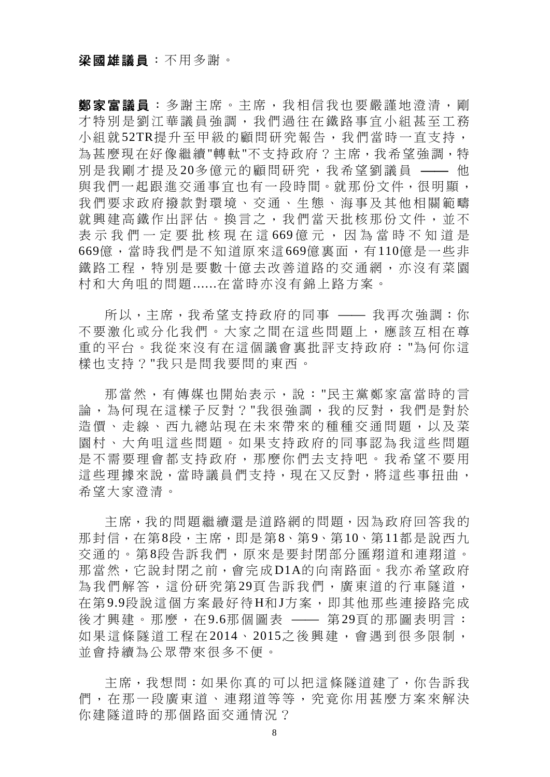# 梁國雄議員:不用多謝。

**鄭家富議員**:多謝主席。主席,我相信我也要嚴謹地澄清,剛 才特別是劉江華議員強調,我們過往在鐵路事宜小組甚至工務 小組就52TR提升至甲級的顧問研究報告,我們當時一直支持, 為甚麼現在好像繼續"轉軚"不支持政府?主席,我希望強調,特 別是我剛才提及 20多億元的顧問研究,我希望劉議員 —— 他 與我們一起跟進交通事宜也有一段時間。就那份文件,很明顯, 我們要求政府撥款對環境、交通、生態、海事及其他相關範疇 就興建高鐵作出評估。換言之,我們當天批核那份文件,並不 表示我們一定要批核現在這669億元,因為當時不知道是 669億,當時我們是不知道原來這669億裏面,有110億是一些非 鐵路工程,特別是要數十億去改善道路的交通網,亦沒有菜園 村和大角咀的問題......在當時亦沒有錦上路方案。

所以,主席,我希望支持政府的同事 —— 我再次強調:你 不要激化或分化我們。大家之間在這些問題上,應該互相在尊 重的平台。我從來沒有在這個議會裏批評支持政府:"為何你這 樣也支持?"我只是問我要問的東西。

那當然,有傳媒也開始表示,說:"民主黨鄭家富當時的言 論,為何現在這樣子反對?"我很強調,我的反對,我們是對於 造價、走線、西九總站現在未來帶來的種種交通問題,以及菜 園村、大角咀這些問題。如果支持政府的同事認為我這些問題 是不需要理會都支持政府,那麼你們去支持吧。我希望不要用 這些理據來說,當時議員們支持,現在又反對,將這些事扭曲, 希望大家澄清。

主席,我的問題繼續還是道路網的問題,因為政府回答我的 那封信,在第8段,主席,即是第8、第9、第10、第11都是說西九 交通的。第8段告訴我們,原來是要封閉部分匯翔道和連翔道。 那當然,它說封閉之前,會完成D1A的向南路面。我亦希望政府 為我們解答,這份研究第29頁告訴我們,廣東道的行車隧道, 在第9.9段說這個方案最好待H和J方案,即其他那些連接路完成 後才興建。那麼,在9.6那個圖表 –– 第29頁的那圖表明言: 如果這條隧道工程在2014、2015之後興建,會遇到很多限制, 並會持續為公眾帶來很多不便。

主席,我想問:如果你真的可以把這條隧道建了,你告訴我 們,在那一段廣東道、連翔道等等,究竟你用甚麼方案來解決 你建隧道時的那個路面交通情況?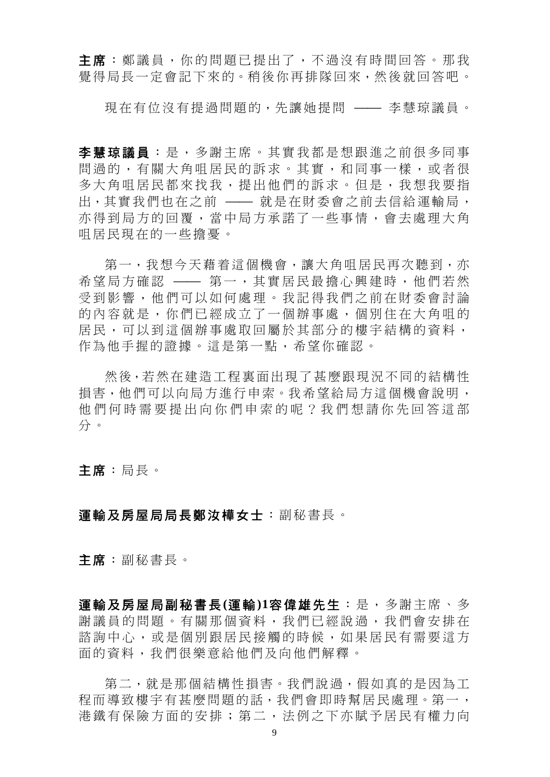主席:鄭議員,你的問題已提出了,不過沒有時間回答。那我 覺得局長一定會記下來的。稍後你再排隊回來,然後就回答吧。

現在有位沒有提過問題的,先讓她提問 –– 李慧琼議員。

李慧琼議員 :是,多謝主席。其實我都是想跟進之前很多同事 問過的,有關大角咀居民的訴求。其實,和同事一樣,或者很 多大角咀居民都來找我,提出他們的訴求。但是,我想我要指 出,其實我們也在之前 —— 就是在財委會之前去信給運輸局, 亦得到局方的回覆,當中局方承諾了一些事情,會去處理大角 咀居民現在的一些擔憂。

第一,我想今天藉着這個機會,讓大角咀居民再次聽到,亦 希望局方確認 —— 第一,其實居民最擔心興建時,他們若然 受到影響,他們可以如何處理。我記得我們之前在財委會討論 的內容就是,你們已經成立了一個辦事處,個別住在大角咀的 居民,可以到這個辦事處取回屬於其部分的樓宇結構的資料, 作為他手握的證據。這是第一點,希望你確認。

然後,若然在建造工程裏面出現了甚麼跟現況不同的結構性 損害,他們可以向局方進行申索。我希望給局方這個機會說明, 他們何時需要提出向你們申索的呢?我們想請你先回答這部 分。

主席:局長。

# 運輸及房屋局局長鄭汝樺女士:副秘書長。

主席:副秘書長。

運輸及房屋局副秘書長**(**運輸**)1**容偉雄先生:是,多謝主席、多 謝議員的問題。有關那個資料,我們已經說過,我們會安排在 諮詢中心,或是個別跟居民接觸的時候,如果居民有需要這方 面的資料,我們很樂意給他們及向他們解釋。

第二,就是那個結構性損害。我們說過,假如真的是因為工 程而導致樓宇有甚麼問題的話,我們會即時幫居民處理。第一, 港鐵有保險方面的安排;第二,法例之下亦賦予居民有權力向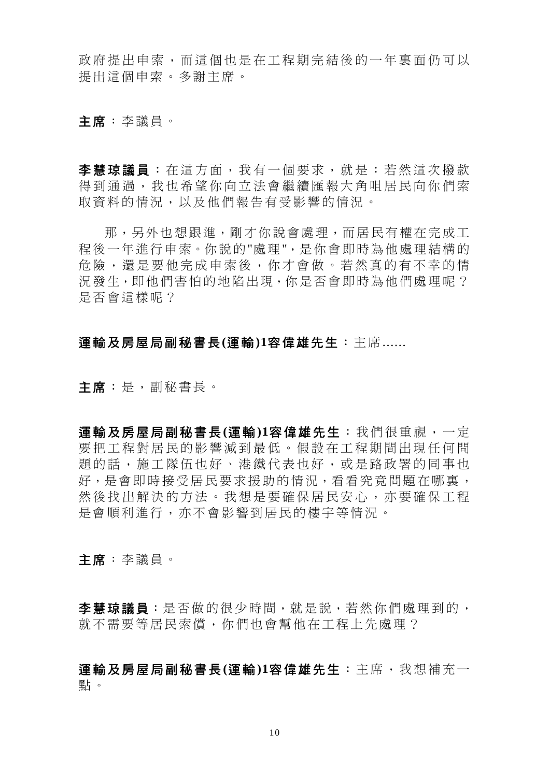政府提出申索,而這個也是在工程期完結後的一年裏面仍可以 提出這個申索。多謝主席。

主席:李議員。

李慧琼議員 :在這方面,我有一個要求,就是:若然這次撥款 得到通過,我也希望你向立法會繼續匯報大角咀居民向你們索 取資料的情況,以及他們報告有受影響的情況。

那,另外也想跟進,剛才你說會處理,而居民有權在完成工 程後一年進行申索。你說的"處理",是你會即時為他處理結構的 危險,還是要他完成申索後,你才會做。若然真的有不幸的情 況發生,即他們害怕的地陷出現,你是否會即時為他們處理呢? 是否會這樣呢?

# 運輸及房屋局副秘書長**(**運輸**)1**容偉雄先生:主席......

主席:是,副秘書長。

運輸及房屋局副秘書長**(**運輸**)1**容偉雄先生:我們很重視,一定 要把工程對居民的影響減到最低。假設在工程期間出現任何問 題的話, 施工隊伍也好、港鐵代表也好, 或是路政署的同事也 好,是會即時接受居民要求援助的情況,看看究竟問題在哪裏, 然後找出解決的方法。我想是要確保居民安心,亦要確保工程 是會順利進行,亦不會影響到居民的樓宇等情況。

主席:李議員。

李慧琼議員:是否做的很少時間,就是說,若然你們處理到的, 就不需要等居民索償,你們也會幫他在工程上先處理?

運輸及房屋局副秘書長**(**運輸**)1**容偉雄先生:主席,我想補充一 點。

10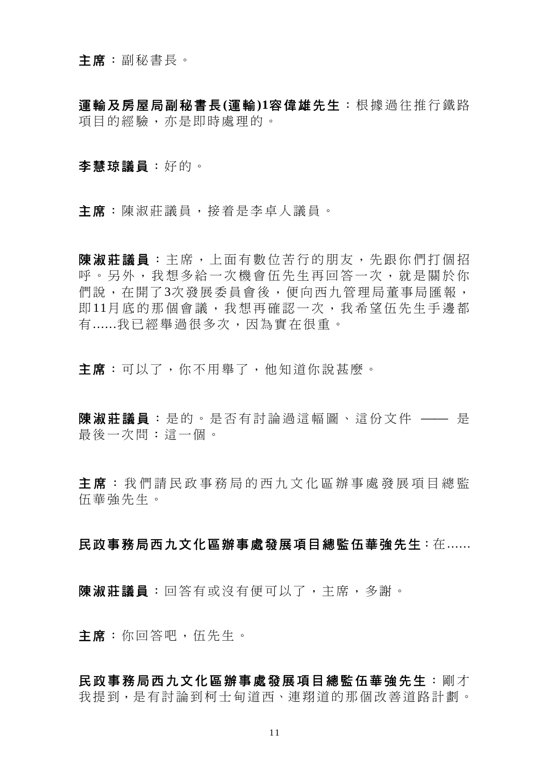#### 主席:副秘書長。

運輸及房屋局副秘書長**(**運輸**)1**容偉雄先生:根據過往推行鐵路 項目的經驗,亦是即時處理的。

#### 李慧琼議員:好的。

主席:陳淑莊議員,接着是李卓人議員。

陳淑莊議員 :主席,上面有數位苦行的朋友,先跟你們打個招 呼。另外,我想多給一次機會伍先生再回答一次,就是關於你 們說,在開了3次發展委員會後,便向西九管理局董事局匯報, 即11月底的那個會議,我想再確認一次,我希望伍先生手邊都 有......我已經舉過很多次,因為實在很重。

主席:可以了,你不用舉了,他知道你說甚麼。

陳淑莊議員:是的。是否有討論過這幅圖、這份文件 —— 是 最後一次問:這一個。

主席:我們請民政事務局的西九文化區辦事處發展項目總監 伍華強先生。

# 民政事務局西九文化區辦事處發展項目總監伍華強先生:在......

陳淑莊議員:回答有或沒有便可以了,主席,多謝。

主席:你回答吧,伍先生。

民政事務局西九文化區辦事處發展項目總監伍華強先生:剛才 我提到,是有討論到柯士甸道西、連翔道的那個改善道路計劃。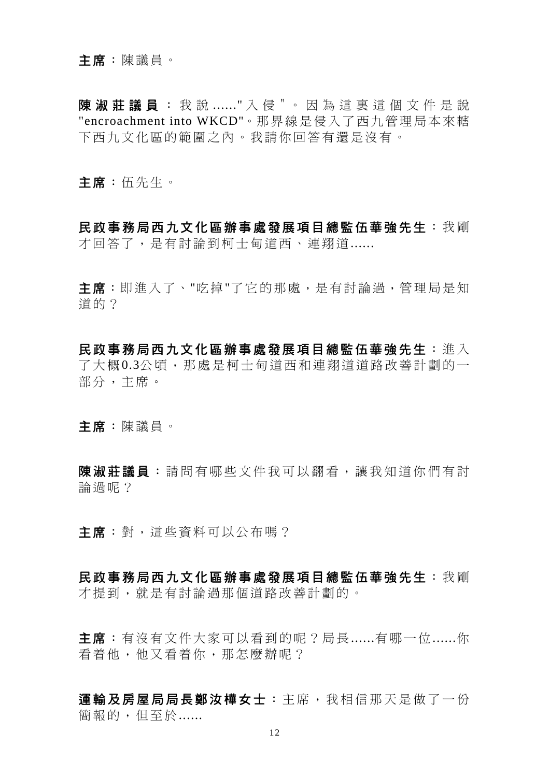#### 主席:陳議員。

陳淑莊議員:我說 ......"入侵"。因為這裏這個文件是說 "encroachment into WKCD"。那界線是侵入了西九管理局本來轄 下西九文化區的範圍之內。我請你回答有還是沒有。

主席:伍先生。

民政事務局西九文化區辦事處發展項目總監伍華強先生:我剛 才回答了,是有討論到柯士甸道西、連翔道......

主席:即進入了、"吃掉"了它的那處,是有討論過,管理局是知 道的?

民政事務局西九文化區辦事處發展項目總監伍華強先生:進入 了大概0.3公頃,那處是柯士甸道西和連翔道道路改善計劃的一 部分,主席。

主席:陳議員。

陳淑莊議員 :請問有哪些文件我可以翻看,讓我知道你們有討 論過呢?

主席:對,這些資料可以公布嗎?

民政事務局西九文化區辦事處發展項目總監伍華強先生:我剛 才提到,就是有討論過那個道路改善計劃的。

主席:有沒有文件大家可以看到的呢?局長......有哪一位......你 看着他,他又看着你,那怎麼辦呢?

運輸及房屋局局長鄭汝樺女士:主席,我相信那天是做了一份 簡報的,但至於......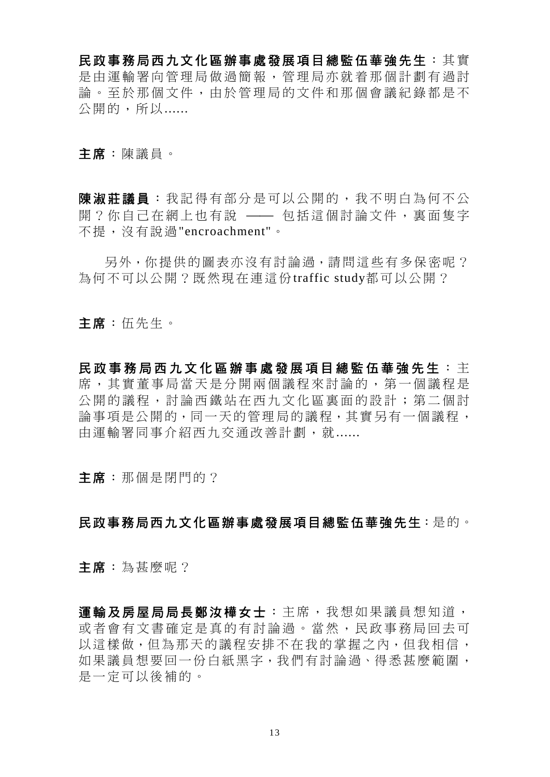民政事務局西九文化區辦事處發展項目總監伍華強先生:其實 是由運輸署向管理局做過簡報,管理局亦就着那個計劃有過討 論。至於那個文件,由於管理局的文件和那個會議紀錄都是不 公開的,所以......

主席:陳議員。

陳淑莊議員 :我記得有部分是可以公開的,我不明白為何不公 開?你自己在網上也有說 —— 包括這個討論文件,裏面隻字 不提,沒有說過"encroachment"。

另外,你提供的圖表亦沒有討論過,請問這些有多保密呢? 為何不可以公開?既然現在連這份traffic study都可以公開?

主席: 伍先生。

民政事務局西九文化區辦事處發展項目總監伍華強先生 : 主 席,其實董事局當天是分開兩個議程來討論的,第一個議程是 公開的議程,討論西鐵站在西九文化區裏面的設計;第二個討 論事項是公開的,同一天的管理局的議程,其實另有一個議程, 由運輸署同事介紹西九交通改善計劃, 就......

主席:那個是閉門的?

# 民政事務局西九文化區辦事處發展項目總監伍華強先生:是的。

主席:為甚麼呢?

軍輪及房屋局局長鄭汝樺女士:主席,我想如果議員想知道, 或者會有文書確定是真的有討論過。當然,民政事務局回去可 以這樣做,但為那天的議程安排不在我的掌握之內,但我相信, 如果議員想要回一份白紙黑字,我們有討論過、得悉甚麼範圍, 是一定可以後補的。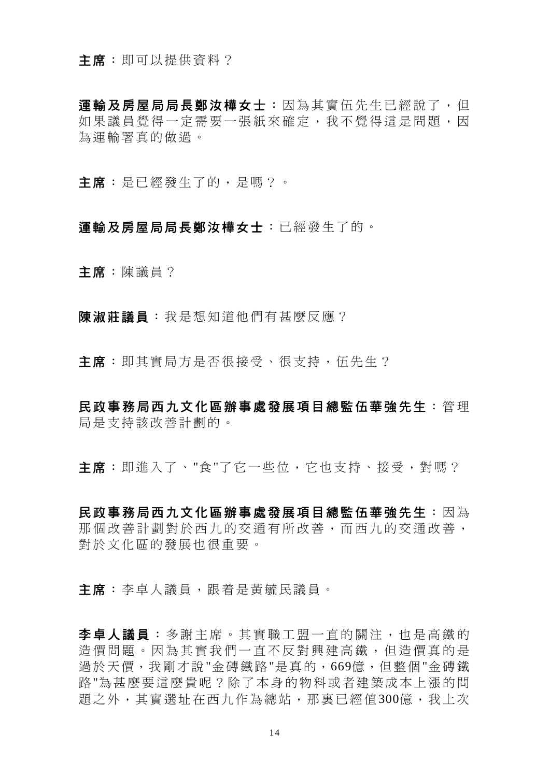#### 主席:即可以提供資料?

軍輪及房屋局局長鄭汝樺女士:因為其實伍先生已經說了, 但 如果議員覺得一定需要一張紙來確定,我不覺得這是問題,因 為運輸署真的做過。

主席:是已經發生了的,是嗎?。

#### 運輸及房屋局局長鄭汝樺女士:已經發生了的。

主席:陳議員?

陳淑莊議員:我是想知道他們有甚麼反應?

主席:即其實局方是否很接受、很支持,伍先生?

民政事務局西九文化區辦事處發展項目總監伍華強先生:管理 局是支持該改善計劃的。

主席:即進入了、"食"了它一些位,它也支持、接受,對嗎?

民政事務局西九文化區辦事處發展項目總監伍華強先生:因為 那個改善計劃對於西九的交通有所改善,而西九的交通改善, 對於文化區的發展也很重要。

主席:李卓人議員,跟着是黃毓民議員。

李卓人議員 :多謝主席。其實職工盟一直的關注,也是高鐵的 造價問題。因為其實我們一直不反對興建高鐵,但造價真的是 過於天價,我剛才說"金磚鐵路"是真的,669億,但整個"金磚鐵 路"為甚麼要這麼貴呢?除了本身的物料或者建築成本上漲的問 題之外,其實選址在西九作為總站,那裏已經值300億,我上次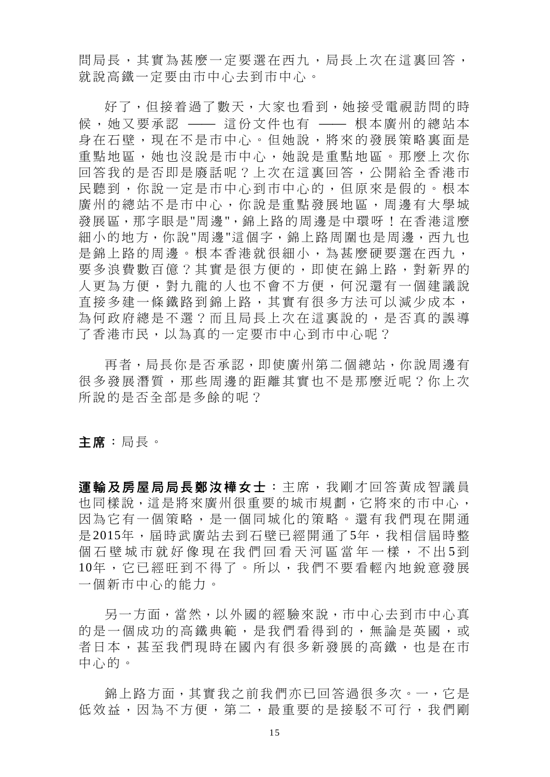問局長,其實為甚麼一定要選在西九,局長上次在這裏回答, 就說高鐵一定要由市中心去到市中心。

好了,但接着過了數天,大家也看到,她接受電視訪問的時 候,她又要承認 —— 這份文件也有 —— 根本廣州的總站本 身在石壁,現在不是市中心。但她說,將來的發展策略裏面是 重點地區,她也沒說是市中心,她說是重點地區。那麼上次你 回答我的是否即是廢話呢?上次在這裏回答,公開給全香港市 民聽到,你說一定是市中心到市中心的,但原來是假的。根本 廣州的總站不是市中心,你說是重點發展地區,周邊有大學城 發展區,那字眼是"周邊",錦上路的周邊是中環呀!在香港這麼 細小的地方,你說"周邊"這個字,錦上路周圍也是周邊,西九也 是錦上路的周邊。根本香港就很細小,為甚麼硬要選在西九, 要多浪費數百億?其實是很方便的,即使在錦上路,對新界的 人更為方便,對九龍的人也不會不方便,何況還有一個建議說 直接多建一條鐵路到錦上路,其實有很多方法可以減少成本, 為何政府總是不選?而且局長上次在這裏說的,是否真的誤導 了香港市民,以為真的一定要市中心到市中心呢?

再者,局長你是否承認,即使廣州第二個總站,你說周邊有 很多發展潛質,那些周邊的距離其實也不是那麼近呢?你上次 所說的是否全部是多餘的呢?

主席:局長。

運輸及房屋局局長鄭汝樺女士:主席,我剛才回答黃成智議員 也同樣說,這是將來廣州很重要的城市規劃,它將來的市中心, 因為它有一個策略,是一個同城化的策略。還有我們現在開通 是2015年,屆時武廣站去到石壁已經開通了5年,我相信屆時整 個石壁城市就好像現在我們回看天河區當年一樣,不出5到 10年,它已經旺到不得了。所以,我們不要看輕內地銳意發展 一個新市中心的能力。

另一方面,當然,以外國的經驗來說,市中心去到市中心真 的是一個成功的高鐵典範,是我們看得到的,無論是英國,或 者日本,甚至我們現時在國內有很多新發展的高鐵,也是在市 中心的。

錦上路方面,其實我之前我們亦已回答過很多次。一,它是 低效益,因為不方便,第二,最重要的是接駁不可行,我們剛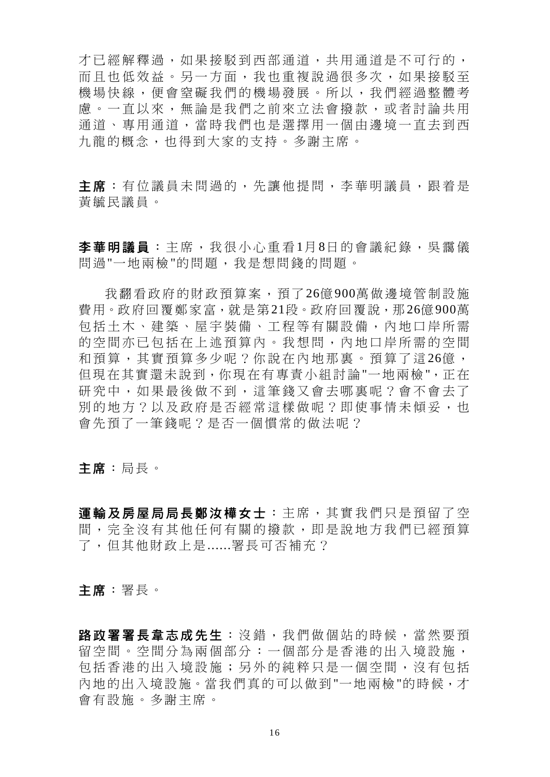才已經解釋過,如果接駁到西部通道,共用通道是不可行的, 而且也低效益。另一方面,我也重複說過很多次,如果接駁至 機場快線,便會窒礙我們的機場發展。所以,我們經過整體考 慮。一直以來,無論是我們之前來立法會撥款,或者討論共用 通道、專用通道,當時我們也是選擇用一個由邊境一直去到西 九龍的概念,也得到大家的支持。多謝主席。

主席:有位議員未問過的,先讓他提問,李華明議員,跟着是 黃毓民議員。

李華明議員:主席,我很小心重看 1月 8日的會議紀錄,吳靄儀 問過"一地兩檢"的問題,我是想問錢的問題。

我翻看政府的財政預算案,預了26億900萬做邊境管制設施 費用。政府回覆鄭家富,就是第21段。政府回覆說,那26億900萬 包括土木、建築、屋宇裝備、工程等有關設備,內地口岸所需 的空間亦已包括在上述預算內。我想問,內地口岸所需的空間 和預算,其實預算多少呢?你說在內地那裏。預算了這26億, 但現在其實還未說到,你現在有專責小組討論"一地兩檢",正在 研究中,如果最後做不到,這筆錢又會去哪裏呢?會不會去了 別的地方?以及政府是否經常這樣做呢?即使事情未傾妥,也 會先預了一筆錢呢?是否一個慣常的做法呢?

主席:局長。

運輸及房屋局局長鄭汝樺女士:主席,其實我們只是預留了空 間,完全沒有其他任何有關的撥款,即是說地方我們已經預算 了,但其他財政上是......署長可否補充?

主席:署長。

路政署署長韋志成先生:沒錯,我們做個站的時候,當然要預 留空間。空間分為兩個部分:一個部分是香港的出入境設施, 包括香港的出入境設施;另外的純粹只是一個空間,沒有包括 內地的出入境設施。當我們真的可以做到"一地兩檢"的時候,才 會有設施。多謝主席。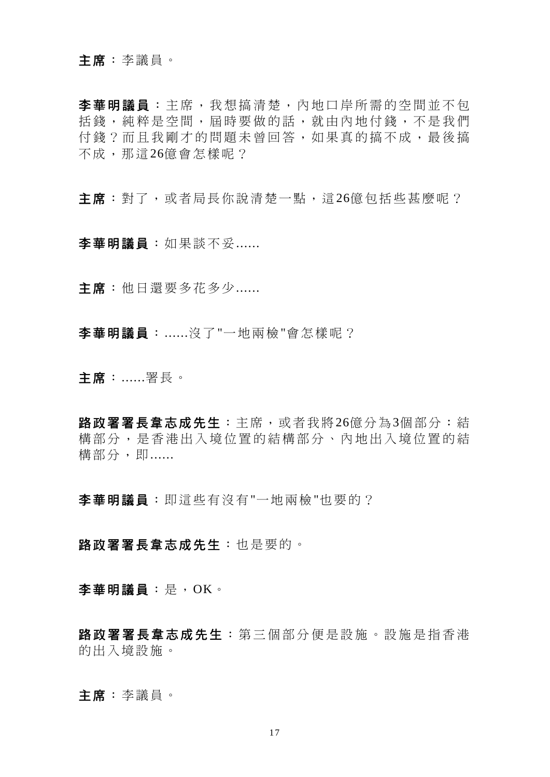### 主席:李議員。

李華明議員 :主席,我想搞清楚,內地口岸所需的空間並不包 括錢,純粹是空間,屆時要做的話,就由內地付錢,不是我們 付錢?而且我剛才的問題未曾回答,如果真的搞不成,最後搞 不成,那這26億會怎樣呢?

主席:對了,或者局長你說清楚一點,這26億包括些甚麼呢?

李華明議員:如果談不妥......

主席:他日還要多花多少......

李華明議員:......沒了"一地兩檢"會怎樣呢?

主席:......署長。

路政署署長韋志成先生:主席,或者我將26億分為3個部分:結 構部分,是香港出入境位置的結構部分、內地出入境位置的結 構部分,即......

李華明議員:即這些有沒有"一地兩檢"也要的?

路政署署長韋志成先生:也是要的。

李華明議員:是,OK。

路政署署長韋志成先生:第三個部分便是設施。設施是指香港 的出入境設施。

主席:李議員。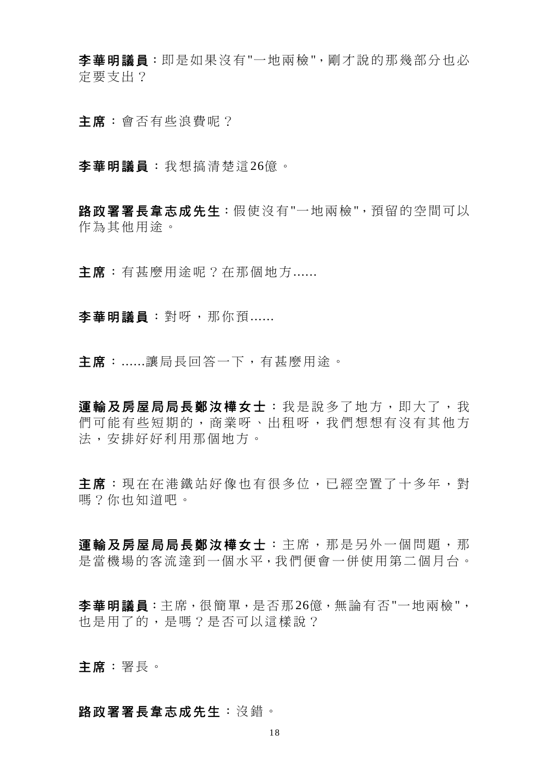李華明議員:即是如果沒有"一地兩檢",剛才說的那幾部分也必 定要支出?

主席:會否有些浪費呢?

李華明議員:我想搞清楚這26億。

路政署署長韋志成先生:假使沒有"一地兩檢",預留的空間可以 作為其他用途。

主席: 有甚麼用涂呢? 在那個地方......

李華明議員:對呀,那你預......

主席:......讓局長回答一下,有甚麼用途。

運輸及房屋局局長鄭汝樺女士:我是說多了地方,即大了,我 們可能有些短期的,商業呀、出租呀,我們想想有沒有其他方 法,安排好好利用那個地方。

主席: 現在在港鐵站好像也有很多位, 已經空置了十多年, 對 嗎?你也知道吧。

運輸及房屋局局長鄭汝樺女士:主席,那是另外一個問題,那 是當機場的客流達到一個水平,我們便會一併使用第二個月台。

李華明議員:主席,很簡單,是否那26億,無論有否"一地兩檢", 也是用了的,是嗎?是否可以這樣說?

主席:署長。

#### 路政署署長韋志成先生:沒錯。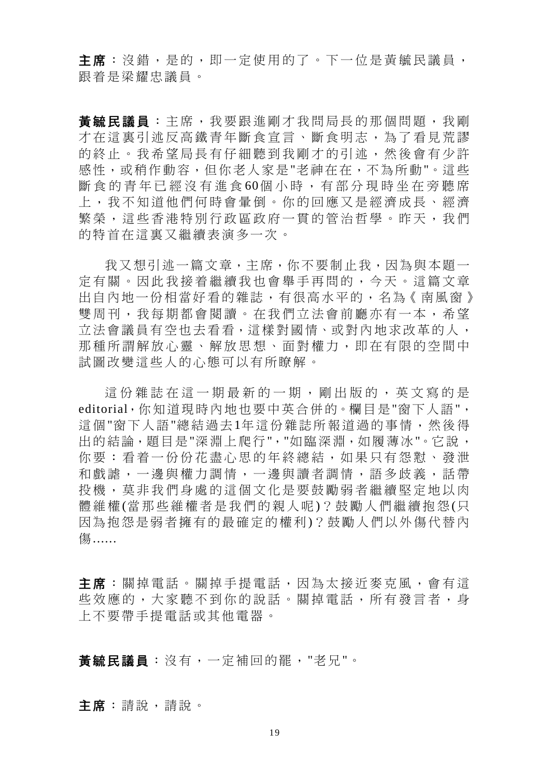主席:沒錯,是的,即一定使用的了。下一位是黃毓民議員, 跟着是梁耀忠議員。

黃毓民議員:主席,我要跟進剛才我問局長的那個問題,我剛 才在這裏引述反高鐵青年斷食宣言、斷食明志,為了看見荒謬 的終止。我希望局長有仔細聽到我剛才的引述,然後會有少許 感性,或稍作動容,但你老人家是"老神在在,不為所動"。這些 斷食的青年已經沒有進食60個小時,有部分現時坐在旁聽席 上,我不知道他們何時會暈倒。你的回應又是經濟成長、經濟 繁榮,這些香港特別行政區政府一貫的管治哲學。昨天,我們 的特首在這裏又繼續表演多一次。

我又想引述一篇文章,主席,你不要制止我,因為與本題一 定有關。因此我接着繼續我也會舉手再問的,今天。這篇文章 出自內地一份相當好看的雜誌,有很高水平的,名為《南風窗》 雙周刊,我每期都會閱讀。在我們立法會前廳亦有一本,希望 立法會議員有空也去看看,這樣對國情、或對內地求改革的人, 那種所謂解放心靈、解放思想、面對權力,即在有限的空間中 試圖改變這些人的心態可以有所瞭解。

這份雜誌在這一期最新的一期 ,剛出版的,英文寫的是 editorial,你知道現時內地也要中英合併的。欄目是"窗下人語", 這個"窗下人語"總結過去1年這份雜誌所報道過的事情,然後得 出的結論,題目是"深淵上爬行","如臨深淵,如履薄冰"。它說, 你要:看着一份份花盡心思的年終總結,如果只有怨懟、發泄 和戲謔,一邊與權力調情,一邊與讀者調情,語多歧義,話帶 投機,莫非我們身處的這個文化是要鼓勵弱者繼續堅定地以肉 體維權(當那些維權者是我們的親人呢)?鼓勵人們繼續抱怨(只 因為抱怨是弱者擁有的最確定的權利)?鼓勵人們以外傷代替內 傷......

主席:關掉電話。關掉手提電話,因為太接近麥克風,會有這 些效應的,大家聽不到你的說話。關掉電話,所有發言者,身 上不要帶手提電話或其他電器。

黃毓民議員:沒有,一定補回的罷,"老兄"。

主席:請說,請說。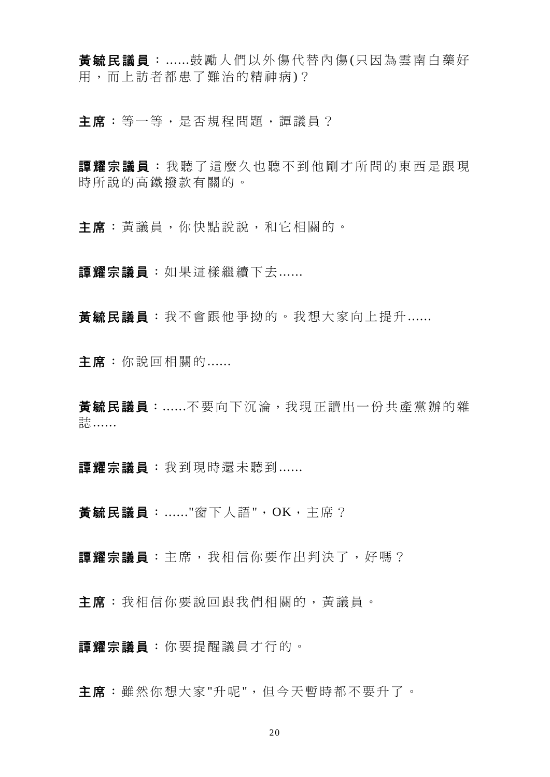黃毓民議員: ......鼓勵人們以外傷代替內傷(只因為雲南白藥好 用,而上訪者都患了難治的精神病)?

主席:等一等,是否規程問題,譚議員?

譚耀宗議員 :我聽了這麼久也聽不到他剛才所問的東西是跟現 時所說的高鐵撥款有關的。

主席:黃議員,你快點說說,和它相關的。

譚耀宗議員:如果這樣繼續下去......

黃毓民議員:我不會跟他爭拗的。我想大家向上提升......

主席:你說回相關的......

黃毓民議員:......不要向下沉淪,我現正讀出一份共產黨辦的雜 誌......

**譚耀宗議員**: 我到現時還未聽到......

黃毓民議員:......"窗下人語",OK,主席?

譚耀宗議員:主席,我相信你要作出判決了,好嗎?

主席:我相信你要說回跟我們相關的,黃議員。

譚耀宗議員:你要提醒議員才行的。

主席:雖然你想大家"升呢",但今天暫時都不要升了。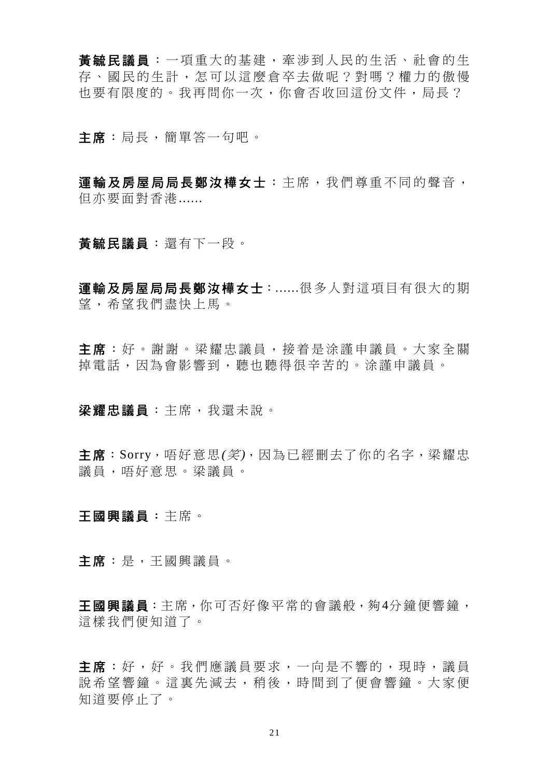着毓民議員:一項重大的基建,塞涉到人民的生活、社會的生 存、國民的生計,怎可以這麼倉卒去做呢?對嗎?權力的傲慢 也要有限度的。我再問你一次,你會否收回這份文件,局長?

主席:局長,簡單答一句吧。

運輸及房屋局局長鄭汝樺女士:主席,我們尊重不同的聲音, 但亦要面對香港......

黃毓民議員:還有下一段。

軍輪及房屋局局長鄭汝樺女士:......很多人對這項目有很大的期 望,希望我們盡快上馬。

主席 : 好。謝謝。梁耀忠議員, 接着是涂謹申議員。大家全關 掉電話,因為會影響到,聽也聽得很辛苦的。涂謹申議員。

梁耀忠議員:主席,我還未說。

主席:Sorry,唔好意思*(*笑*)*,因為已經刪去了你的名字,梁耀忠 議員,唔好意思。梁議員。

## 王國興議員:主席。

主席:是,王國興議員。

王國興議員:主席,你可否好像平常的會議般,夠4分鐘便響鐘, 這樣我們便知道了。

主 席 :好,好。我們應議員要求,一向是不響的,現時,議員 說希望響鐘。這裏先減去,稍後,時間到了便會響鐘。大家便 知道要停止了。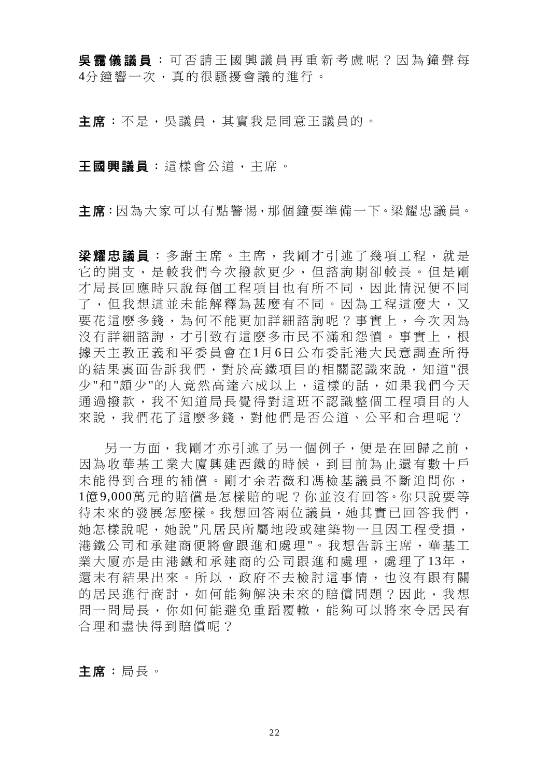吳靄儀議員 :可否請王國興議員再重新考慮呢?因為鐘聲每 4分鐘響一次,真的很騷擾會議的進行。

主席:不是,吳議員,其實我是同意王議員的。

王國興議員:這樣會公道,主席。

主席:因為大家可以有點警惕,那個鐘要準備一下。梁耀忠議員。

梁耀忠議員:多謝主席。主席,我剛才引述了幾項工程,就是 它的開支,是較我們今次撥款更少,但諮詢期卻較長。但是剛 才局長回應時只說每個工程項目也有所不同,因此情況便不同 了,但我想這並未能解釋為甚麼有不同。因為工程這麼大,又 要花這麼多錢,為何不能更加詳細諮詢呢?事實上,今次因為 沒有詳細諮詢,才引致有這麼多市民不滿和怨憤。事實上,根 據天主教正義和平委員會在 1月 6日公布委託港大民意調查所得 的結果裏面告訴我們,對於高鐵項目的相關認識來說,知道"很 少"和"頗少"的人竟然高達六成以上,這樣的話,如果我們今天 通過撥款,我不知道局長覺得對這班不認識整個工程項目的人 來說,我們花了這麼多錢,對他們是否公道、公平和合理呢?

另一方面,我剛才亦引述了另一個例子,便是在回歸之前, 因為收華基工業大廈興建西鐵的時候,到目前為止還有數十戶 未能得到合理的補償。剛才余若薇和馮檢基議員不斷追問你, 1億9,000萬元的賠償是怎樣賠的呢?你並沒有回答。你只說要等 待未來的發展怎麼樣。我想回答兩位議員,她其實已回答我們, 她怎樣說呢,她說"凡居民所屬地段或建築物一旦因工程受損, 港鐵公司和承建商便將會跟進和處理"。我想告訴主席,華基工 業大廈亦是由港鐵和承建商的公司跟淮和處理,處理了13年, 還未有結果出來。所以,政府不去檢討這事情,也沒有跟有關 的居民進行商討,如何能夠解決未來的賠償問題?因此,我想 問一問局長,你如何能避免重蹈覆轍,能夠可以將來令居民有 合理和盡快得到賠償呢?

主席:局長。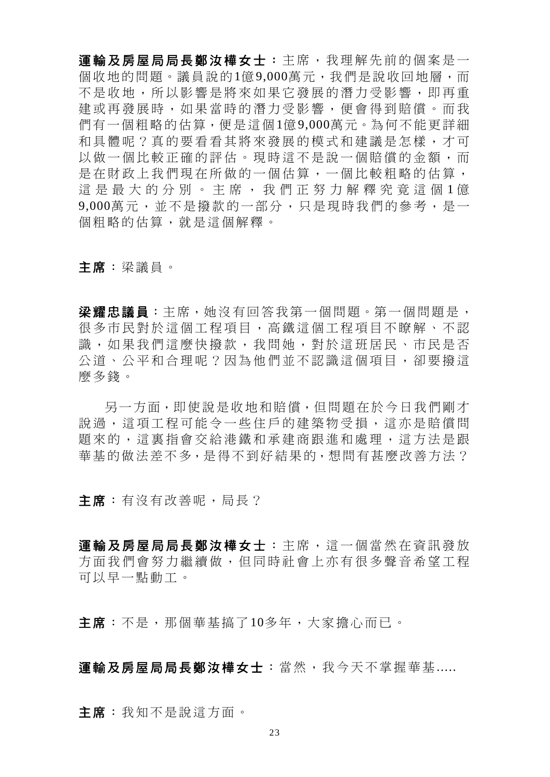運輸及房屋局局長鄭汝樺女士: 主席, 我理解先前的個案是一 個收地的問題。議員說的1億9,000萬元,我們是說收回地層,而 不是收地,所以影響是將來如果它發展的潛力受影響,即再重 建或再發展時,如果當時的潛力受影響,便會得到賠償。而我 們有一個粗略的估算,便是這個1億9,000萬元。為何不能更詳細 和具體呢?真的要看看其將來發展的模式和建議是怎樣,才可 以做一個比較正確的評估。現時這不是說一個賠償的金額,而 是在財政上我們現在所做的一個估算,一個比較粗略的估算, 這是最大的分別。主席,我們正努力解釋究竟這個1億 9,000萬元,並不是撥款的一部分,只是現時我們的參考,是一 個粗略的估算,就是這個解釋。

# 主席:梁議員。

梁耀忠議員:主席, 她沒有回答我第一個問題。第一個問題是, 很多市民對於這個工程項目,高鐵這個工程項目不瞭解、不認 識,如果我們這麼快撥款,我問她,對於這班居民、市民是否 公道、公平和合理呢?因為他們並不認識這個項目,卻要撥這 麼多錢。

另一方面,即使說是收地和賠償,但問題在於今日我們剛才 說過,這項工程可能令一些住戶的建築物受損,這亦是賠償問 題來的,這裏指會交給港鐵和承建商跟進和處理,這方法是跟 華基的做法差不多,是得不到好結果的,想問有甚麼改善方法?

主席:有沒有改善呢,局長?

軍輸及房屋局局長鄭汝樺女士:主席,這一個當然在資訊發放 方面我們會努力繼續做,但同時社會上亦有很多聲音希望工程 可以早一點動工。

主席:不是,那個華基搞了10多年,大家擔心而已。

運輸及房屋局局長鄭汝樺女士:當然,我今天不掌握華基.....

主席:我知不是說這方面。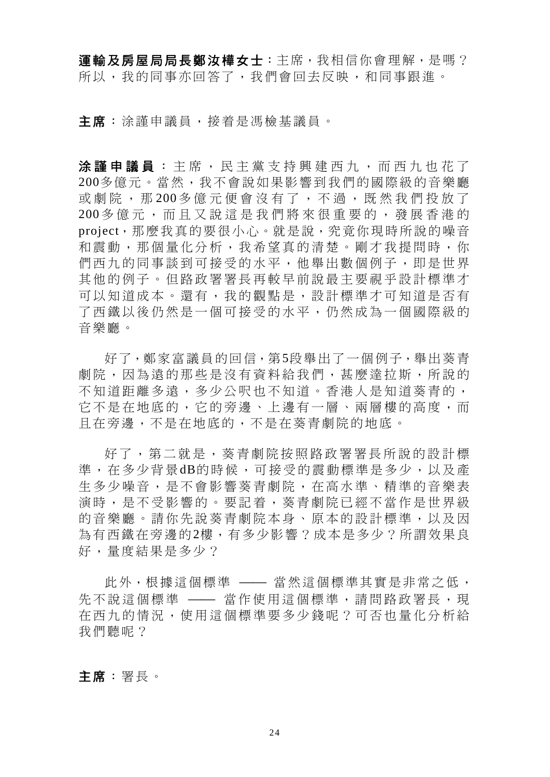運輸及房屋局局長鄭汝樺女士:主席,我相信你會理解,是嗎? 所以,我的同事亦回答了,我們會回去反映,和同事跟進。

主席:涂謹申議員,接着是馮檢基議員。

涂謹申議員:主席,民主黨支持興建西九,而西九也花了 200多億元。當然,我不會說如果影響到我們的國際級的音樂廳 或劇院,那 200 多億元便會沒有了,不渦,既然我們投放了 200 多億元,而且又說這是我們將來很重要的,發展香港的 project,那麼我真的要很小心。就是說,究竟你現時所說的噪音 和震動,那個量化分析,我希望真的清楚。剛才我提問時,你 們西九的同事談到可接受的水平,他舉出數個例子,即是世界 其他的例子。但路政署署長再較早前說最主要視乎設計標準才 可以知道成本。還有,我的觀點是,設計標準才可知道是否有 了西鐵以後仍然是一個可接受的水平,仍然成為一個國際級的 音樂廳。

好了,鄭家富議員的回信,第5段舉出了一個例子,舉出葵青 劇院,因為遠的那些是沒有資料給我們,甚麼達拉斯,所說的 不知道距離多遠,多少公呎也不知道。香港人是知道葵青的, 它不是在地底的,它的旁邊、上邊有一層、兩層樓的高度,而 且在旁邊,不是在地底的,不是在葵青劇院的地底。

好了,第二就是,葵青劇院按照路政署署長所說的設計標 準,在多少背景dB的時候,可接受的震動標準是多少,以及產 生多少噪音,是不會影響葵青劇院,在高水準、精準的音樂表 演時,是不受影響的。要記着,葵青劇院已經不當作是世界級 的音樂廳。請你先說葵青劇院本身、原本的設計標準,以及因 為有西鐵在旁邊的2樓,有多少影響?成本是多少?所謂效果良 好,量度結果是多少?

此外,根據這個標準 —— 當然這個標準其實是非常之低, 先不說這個標準 —— 當作使用這個標準,請問路政署長,現 在西九的情況,使用這個標準要多少錢呢?可否也量化分析給 我們聽呢?

主席:署長。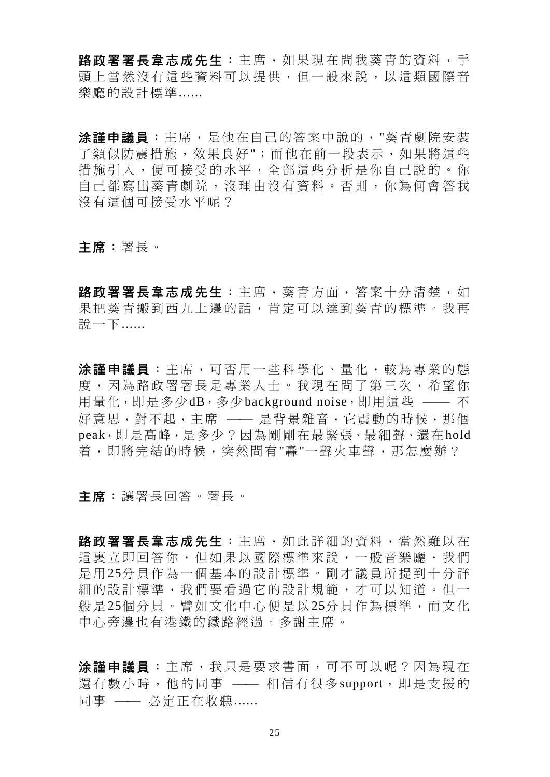路政署署長韋志成先生: 主席, 如果現在問我葵青的資料, 手 頭上當然沒有這些資料可以提供,但一般來說,以這類國際音 樂廳的設計標準......

涂謹申議員:主席,是他在自己的答案中說的,"葵青劇院安裝 了類似防震措施,效果良好";而他在前一段表示,如果將這些 措施引入,便可接受的水平,全部這些分析是你自己說的。你 自己都寫出葵青劇院,沒理由沒有資料。否則,你為何會答我 沒有這個可接受水平呢?

主席:署長。

路政署署長韋志成先生:主席,葵青方面,答案十分清楚,如 果把葵青搬到西九上邊的話,肯定可以達到葵青的標準。我再 說一下......

涂謹申議員 :主席,可否用一些科學化、量化,較為專業的態 度,因為路政署署長是專業人士。我現在問了第三次,希望你 用量化,即是多少dB,多少background noise,即用這些 —— 不 好意思,對不起,主席 —— 是背景雜音,它震動的時候,那個 peak,即是高峰,是多少?因為剛剛在最緊張、最細聲、還在hold 着,即將完結的時候,突然間有"轟"一聲火車聲,那怎麼辦?

主席:讓署長回答。署長。

路政署署長韋志成先生:主席,如此詳細的資料,當然難以在 這裏立即回答你,但如果以國際標準來說,一般音樂廳,我們 是 用 25分貝作為一個基本的設計標準。剛才議員所提到十分詳 細的設計標準,我們要看過它的設計規範,才可以知道。但一 般是25個分貝。譬如文化中心便是以25分貝作為標準,而文化 中心旁邊也有港鐵的鐵路經過。多謝主席。

涂謹申議員:主席,我只是要求書面,可不可以呢?因為現在 還有數小時,他的同事 —— 相信有很多support,即是支援的 同事 — 必定正在收聽......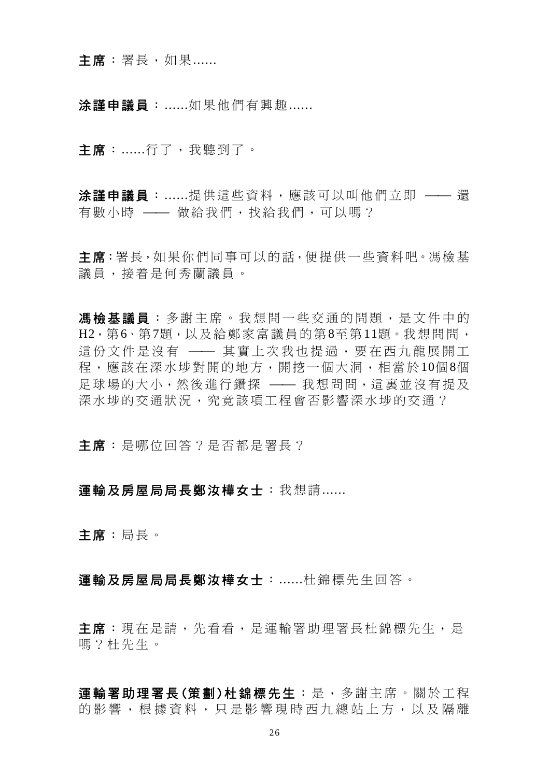主席:署長,如果......

涂謹申議員:......如果他們有興趣......

主席:......行了,我聽到了。

涂謹申議員:......提供這些資料,應該可以叫他們立即 –– 還 有數小時 —— 做給我們,找給我們,可以嗎?

主席:署長,如果你們同事可以的話,便提供一些資料吧。馮檢基 議員,接着是何秀蘭議員。

馮檢基議員 :多謝主席。我想問一些交通的問題,是文件中的 H2,第6、第7題,以及給鄭家富議員的第8至第11題。我想問問, 這份文件是沒有 —— 其實上次我也提過,要在西九龍展開工 程,應該在深水埗對開的地方,開挖一個大洞,相當於10個8個 足球場的大小,然後進行鑽探 —— 我想問問,這裏並沒有提及 深水埗的交通狀況,究竟該項工程會否影響深水埗的交通?

主席:是哪位回答?是否都是署長?

# 軍輪及房屋局局長鄭汝樺女士:我想請......

主席:局長。

運輸及房屋局局長鄭汝樺女士:......杜錦標先生回答。

主席: 現在是請,先看看,是運輸署助理署長杜錦標先生,是 嗎?杜先生。

軍輸署助理署長(策劃)杜錦標先生:是,多謝主席。關於工程 的影響,根據資料,只是影響現時西九總站上方,以及隔離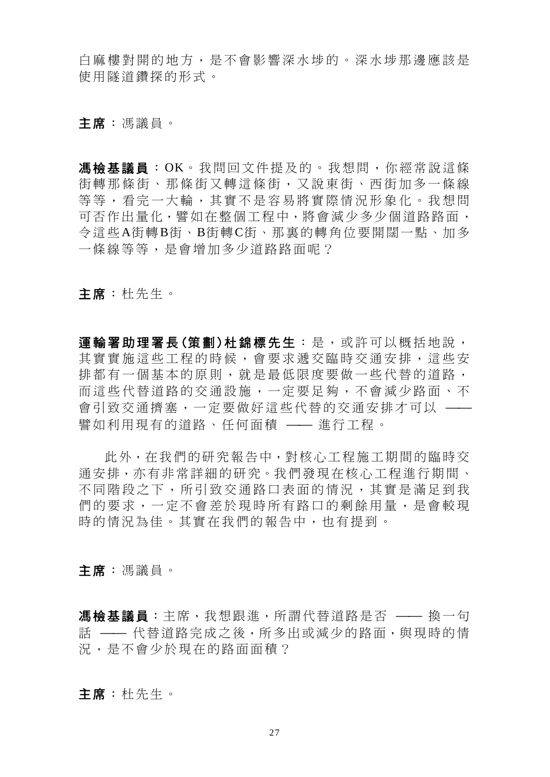白麻樓對開的地方,是不會影響深水埗的。深水埗那邊應該是 使用隧道鑽探的形式。

主席:馮議員。

馮檢基議員:OK。我問回文件提及的。我想問,你經常說這條 街轉那條街、那條街又轉這條街,又說東街、西街加多一條線 等等,看完一大輪,其實不是容易將實際情況形象化。我想問 可否作出量化,譬如在整個工程中,將會減少多少個道路路面, 令這些A街轉B街、B街轉C街、那裏的轉角位要開闊一點、加多 一條線等等,是會增加多少道路路面呢?

主席:杜先生。

運輸署助理署長(策劃)杜錦標先生:是,或許可以概括地說, 其實實施這些工程的時候,會要求遞交臨時交通安排,這些安 排都有一個基本的原則,就是最低限度要做一些代替的道路, 而這些代替道路的交通設施,一定要足夠,不會減少路面、不 會引致交通擠塞,一定要做好這些代替的交通安排才可以 —— 譬如利用現有的道路、任何面積 —— 進行工程。

 此外,在我們的研究報告中,對核心工程施工期間的臨時交 通安排,亦有非常詳細的研究。我們發現在核心工程進行期間、 不同階段之下,所引致交通路口表面的情況,其實是滿足到我 們的要求,一定不會差於現時所有路口的剩餘用量,是會較現 時的情況為佳。其實在我們的報告中,也有提到。

主席:馮議員。

馮檢基議員:主席,我想跟進,所謂代替道路是否 —— 換一句 話 –– 代替道路完成之後,所多出或減少的路面,與現時的情 況,是不會少於現在的路面面積?

主席:杜先生。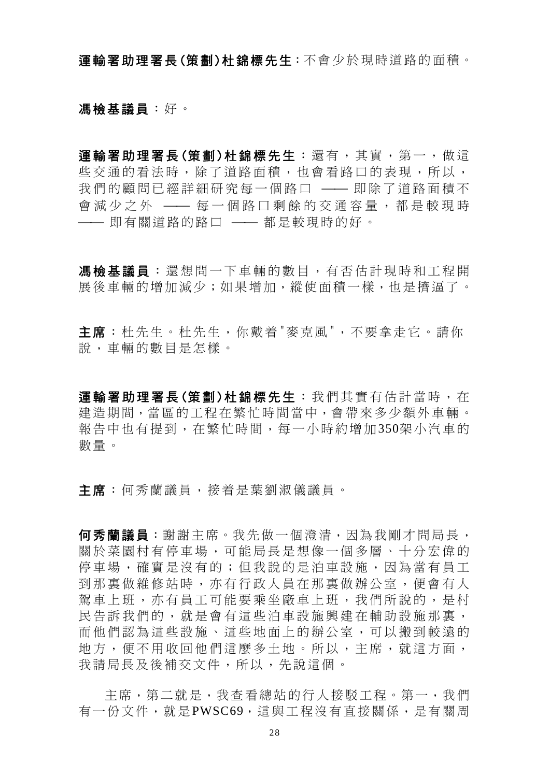運輸署助理署長(策劃)杜錦標先生:不會少於現時道路的面積。

#### 馮檢基議員:好。

運輸署助理署長(策劃)杜錦標先生: 還有, 其實, 第一, 做這 些交通的看法時,除了道路面積,也會看路口的表現,所以, 我們的顧問已經詳細研究每一個路口 –– 即除了道路面積不 會減少之外 —— 每一個路口剩餘的交通容量,都是較現時 —— 即有關道路的路口 —— 都是較現時的好。

馮檢基議員 :還想問一下車輛的數目,有否估計現時和工程開 展後車輛的增加減少;如果增加,縱使面積一樣,也是擠逼了。

主席:杜先生。杜先生,你戴着"麥克風",不要拿走它。請你 說,車輛的數目是怎樣。

運輸署助理署長(策劃)杜錦標先生:我們其實有估計當時,在 建造期間,當區的工程在繁忙時間當中,會帶來多少額外車輛。 報告中也有提到,在繁忙時間,每一小時約增加350架小汽車的 數量。

主席:何秀蘭議員,接着是葉劉淑儀議員。

何秀蘭議員:謝謝主席。我先做一個澄清,因為我剛才問局長, 關於菜園村有停車場,可能局長是想像一個多層、十分宏偉的 停車場,確實是沒有的;但我說的是泊車設施,因為當有員工 到那裏做維修站時,亦有行政人員在那裏做辦公室,便會有人 駕車上班,亦有員工可能要乘坐廠車上班,我們所說的,是村 民告訴我們的,就是會有這些泊車設施興建在輔助設施那裏, 而他們認為這些設施、這些地面上的辦公室,可以搬到較遠的 地方,便不用收回他們這麼多土地。所以,主席,就這方面, 我請局長及後補交文件,所以,先說這個。

主席, 第二就是, 我杳看總站的行人接駁工程。第一, 我們 有一份文件,就是PWSC69,這與工程沒有直接關係,是有關周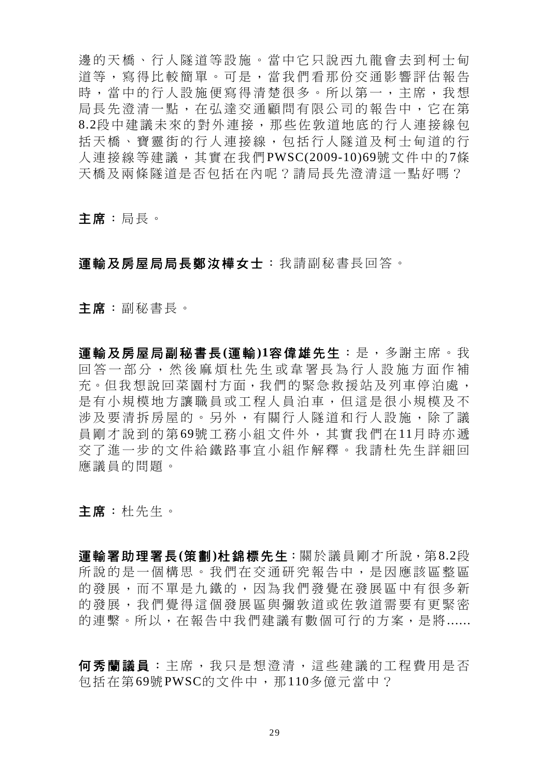邊的天橋、行人隧道等設施。當中它只說西九龍會去到柯士甸 道等,寫得比較簡單。可是,當我們看那份交通影響評估報告 時,當中的行人設施便寫得清楚很多。所以第一,主席,我想 局長先澄清一點,在弘達交通顧問有限公司的報告中,它在第 8.2段中建議未來的對外連接,那些佐敦道地底的行人連接線包 括天橋、寶靈街的行人連接線,包括行人隊道及柯士甸道的行 人連接線等建議,其實在我們PWSC(2009-10)69號文件中的7條 天橋及兩條隧道是否包括在內呢?請局長先澄清這一點好嗎?

主席:局長。

# 運輸及房屋局局長鄭汝樺女士:我請副秘書長回答。

#### 主席:副秘書長。

運輸及房屋局副秘書長**(**運輸**)1**容偉雄先生:是,多謝主席。我 回答一部分,然後麻煩杜先生或韋署長為行人設施方面作補 充。但我想說回菜園村方面,我們的緊急救援站及列車停泊處, 是有小規模地方讓職員或工程人員泊車,但這是很小規模及不 涉及要清拆房屋的。另外,有關行人隧道和行人設施,除了議 員剛才說到的第69號工務小組文件外,其實我們在11月時亦遞 交了進一步的文件給鐵路事宜小組作解釋。我請杜先生詳細回 應議員的問題。

主席:杜先生。

運輸署助理署長**(**策劃**)**杜錦標先生:關於議員剛才所說,第8.2段 所說的是一個構思。我們在交通研究報告中,是因應該區整區 的發展,而不單是九鐵的,因為我們發覺在發展區中有很多新 的發展,我們覺得這個發展區與彌敦道或佐敦道需要有更緊密 的連繫。所以, 在報告中我們建議有數個可行的方案, 是將......

何秀蘭議員 :主席,我只是想澄清,這些建議的工程費用是否 包括在第69號PWSC的文件中,那110多億元當中?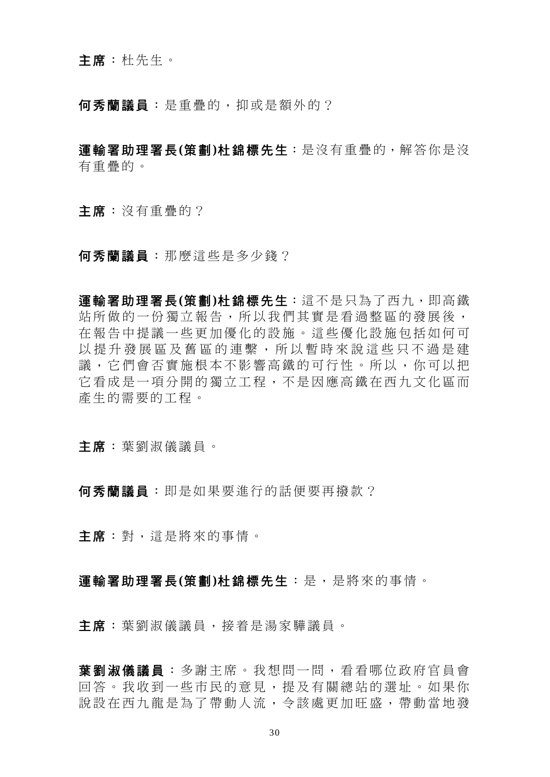主席:杜先生。

何秀蘭議員:是重疊的,抑或是額外的?

運輸署助理署長**(**策劃**)**杜錦標先生:是沒有重疊的,解答你是沒 有重疊的。

主席:沒有重疊的?

何秀蘭議員:那麼這些是多少錢?

運輸署助理署長**(**策劃**)**杜錦標先生:這不是只為了西九,即高鐵 站所做的一份獨立報告,所以我們其實是看過整區的發展後, 在報告中提議一些更加優化的設施。這些優化設施包括如何可 以提升發展區及舊區的連繫,所以暫時來說這些只不過是建 議,它們會否實施根本不影響高鐵的可行性。所以,你可以把 它看成是一項分開的獨立工程,不是因應高鐵在西九文化區而 產生的需要的工程。

主席:葉劉淑儀議員。

何秀蘭議員:即是如果要進行的話便要再撥款?

主席:對,這是將來的事情。

運輸署助理署長**(**策劃**)**杜錦標先生:是,是將來的事情。

主席:葉劉淑儀議員,接着是湯家驊議員。

葉劉淑儀議員:多謝主席。我想問一問,看看哪位政府官員會 回答。我收到一些市民的意見,提及有關總站的選址。如果你 說設在西九龍是為了帶動人流,令該處更加旺盛,帶動當地發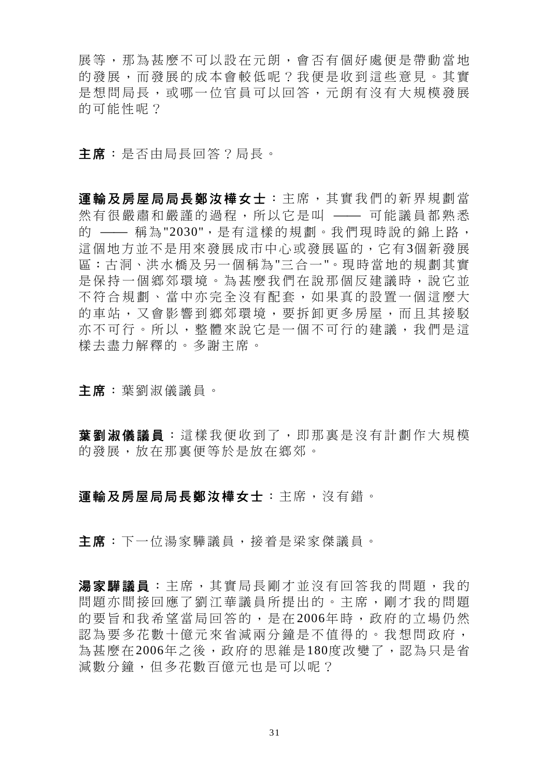展等,那為甚麼不可以設在元朗,會否有個好處便是帶動當地 的發展,而發展的成本會較低呢?我便是收到這些意見。其實 是想問局長,或哪一位官員可以回答,元朗有沒有大規模發展 的可能性呢?

主席:是否由局長回答?局長。

運輸及房屋局局長鄭汝樺女士:主席,其實我們的新界規劃當 然有很嚴肅和嚴謹的過程,所以它是叫 —— 可能議員都熟悉 的 —— 稱為"2030",是有這樣的規劃。我們現時說的錦上路, 這個地方並不是用來發展成市中心或發展區的,它有3個新發展 區:古洞、洪水橋及另一個稱為"三合一"。現時當地的規劃其實 是保持一個鄉郊環境。為甚麼我們在說那個反建議時,說它並 不符合規劃、當中亦完全沒有配套,如果真的設置一個這麼大 的車站,又會影響到鄉郊環境,要拆卸更多房屋,而且其接駁 亦不可行。所以,整體來說它是一個不可行的建議,我們是這 樣去盡力解釋的。多謝主席。

主席:葉劉淑儀議員。

葉劉淑儀議員:這樣我便收到了,即那裏是沒有計劃作大規模 的發展,放在那裏便等於是放在鄉郊。

運輸及房屋局局長鄭汝樺女士:主席,沒有錯。

主席:下一位湯家驊議員,接着是梁家傑議員。

湯家驊議員:主席,其實局長剛才並沒有回答我的問題,我的 問題亦間接回應了劉江華議員所提出的。主席,剛才我的問題 的要旨和我希望當局回答的,是在2006年時,政府的立場仍然 認為要多花數十億元來省減兩分鐘是不值得的。我想問政府, 為甚麼在2006年之後,政府的思維是180度改變了,認為只是省 減數分鐘,但多花數百億元也是可以呢?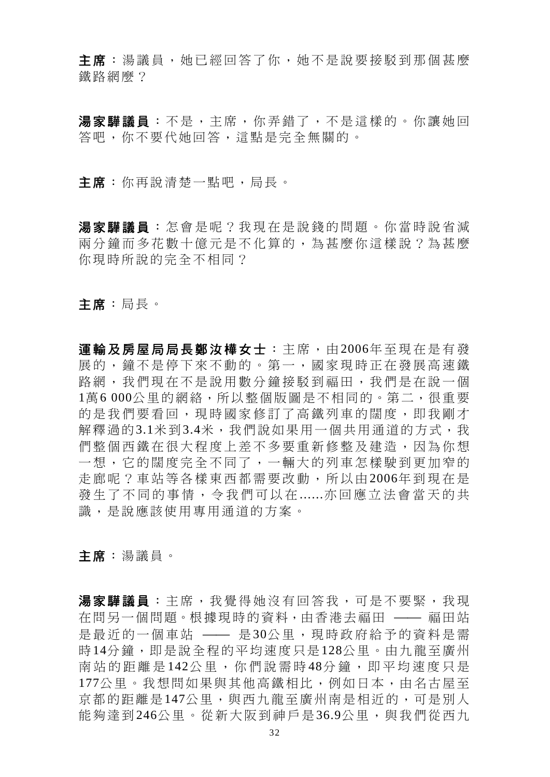主席:湯議員,她已經回答了你,她不是說要接駁到那個甚麼 鐵路網麼?

湯家驊議員:不是,主席,你弄錯了,不是這樣的。你讓她回 答吧,你不要代她回答,這點是完全無關的。

主席:你再說清楚一點吧,局長。

湯家驊議員:怎會是呢?我現在是說錢的問題。你當時說省減 兩分鐘而多花數十億元是不化算的,為甚麼你這樣說?為甚麼 你現時所說的完全不相同?

主席:局長。

軍輪及房屋局局長鄭汝樺女士:主席,由 2006年至現在是有發 展的,鐘不是停下來不動的。第一,國家現時正在發展高速鐵 路網,我們現在不是說用數分鐘接駁到福田,我們是在說一個 1萬6 000公里的網絡,所以整個版圖是不相同的。第二,很重要 的是我們要看回,現時國家修訂了高鐵列車的闊度,即我剛才 解釋過的3.1米到3.4米,我們說如果用一個共用通道的方式,我 們整個西鐵在很大程度上差不多要重新修整及建造,因為你想 一想,它的闊度完全不同了,一輛大的列車怎樣駛到更加窄的 走廊呢?車站等各樣東西都需要改動,所以由 2006年到現在是 發生了不同的事情,令我們可以在 ......亦回應立法會當天的共 識,是說應該使用專用通道的方案。

主席:湯議員。

湯家驊議員:主席,我覺得她沒有回答我,可是不要緊,我現 在問另一個問題。根據現時的資料,由香港去福田 —— 福田站 是最近的一個車站 —— 是30公里,現時政府給予的資料是需 時14分鐘,即是說全程的平均速度只是128公里。由九龍至廣州 南站的距離是142公里,你們說需時48分鐘,即平均速度只是 177公里。我想問如果與其他高鐵相比,例如日本,由名古屋至 京都的距離是147公里,與西九龍至廣州南是相近的,可是別人 能夠達到246公里。從新大阪到神戶是36.9公里,與我們從西九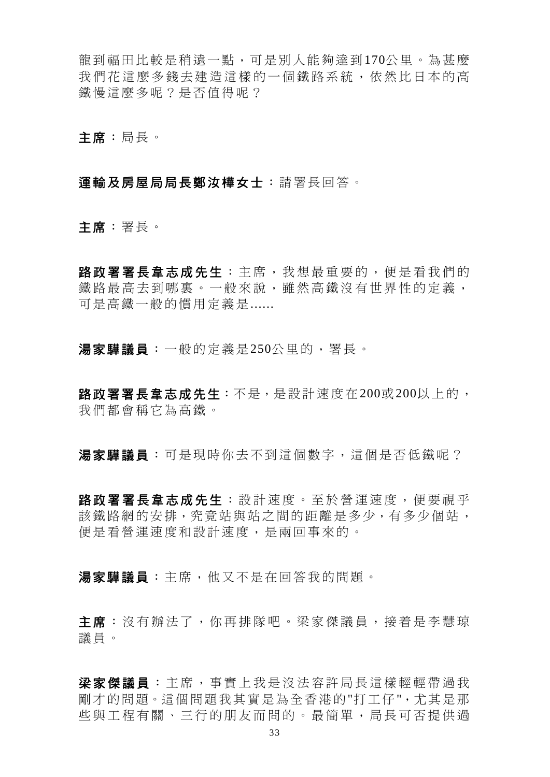龍到福田比較是稍遠一點,可是別人能夠達到170公里。為甚麼 我們花這麼多錢去建造這樣的一個鐵路系統,依然比日本的高 鐵慢這麼多呢?是否值得呢?

主席:局長。

#### 運輸及房屋局局長鄭汝樺女士:請署長回答。

主席:署長。

路政署署長韋志成先生:主席,我想最重要的,便是看我們的 鐵路最高去到哪裏。一般來說,雕然高鐵沒有世界性的定義, 可是高鐵一般的慣用定義是......

湯家驊議員:一般的定義是250公里的,署長。

路政署署長韋志成先生:不是,是設計速度在200或200以上的, 我們都會稱它為高鐵。

湯家驊議員:可是現時你去不到這個數字,這個是否低鐵呢?

路政署署長韋志成先生:設計速度。至於營運速度,便要視乎 該鐵路網的安排,究竟站與站之間的距離是多少,有多少個站, 便是看營運速度和設計速度,是兩回事來的。

湯家驊議員:主席,他又不是在回答我的問題。

主席:沒有辦法了,你再排隊吧。梁家傑議員,接着是李慧琼 議員。

梁家傑議員: 主席, 事實上我是沒法容許局長這樣輕輕帶過我 剛才的問題。這個問題我其實是為全香港的"打工仔",尤其是那 些與工程有關、三行的朋友而問的。最簡單,局長可否提供過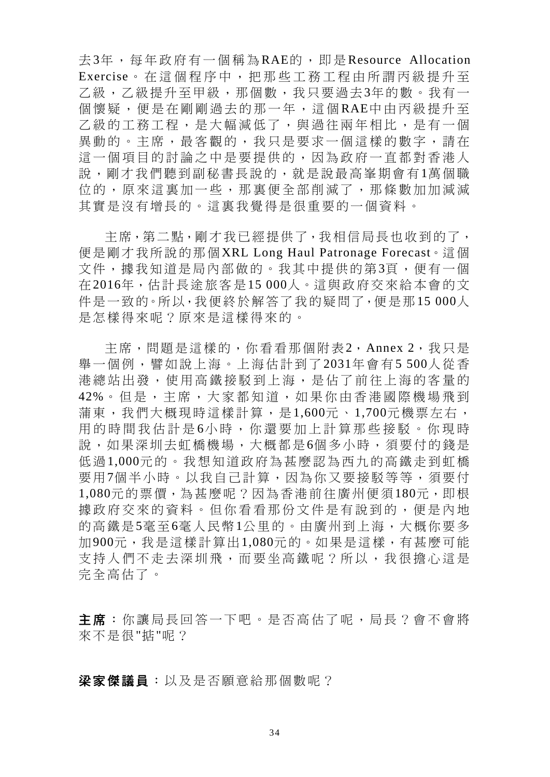去3年,每年政府有一個稱為 RAE的,即是 Resource Allocation Exercise。在這個程序中,把那些工 務工程由所謂丙級提升至 乙級,乙級提升至甲級,那個數,我只要過去3年的數。我有一 個懷疑,便是在剛剛過去的那一年,這個RAE中由丙級提升至 乙級的工務工程,是大幅減低了,與過往兩年相比,是有一個 異動的。主席,最客觀的,我只是要求一個這樣的數字,請在 這一個項目的討論之中是要提供的,因為政府一直都對香港人 說,剛才我們聽到副秘書長說的,就是說最高峯期會有1萬個職 位的,原來這裏加一些,那裏便全部削減了,那條數加加減減 其實是沒有增長的。這裏我覺得是很重要的一個資料。

主席, 第二點, 剛才我已經提供了, 我相信局長也收到的了, 便是剛才我所說的那個XRL Long Haul Patronage Forecast。這個 文件,據我知道是局內部做的。我其中提供的第3頁,便有一個 在2016年,估計長途旅客是15 000人。這與政府交來給本會的文 件是一致的。所以,我便終於解答了我的疑問了,便是那15 000人 是怎樣得來呢?原來是這樣得來的。

主席,問題是這樣的,你看看那個附表2,Annex 2,我只是 舉一個例,譬如說上海。上海估計到了2031年會有5 500人從香 港總站出發,使用高鐵接駁到上海,是佔了前往上海的客量的 42%。但是,主席,大家都知道,如果你由香港國際機場飛到 蒲東,我們大概現時這樣計算,是1,600元、1,700元機票左右, 用的時間我估計是6小時,你還要加上計算那些接駁。你現時 說,如果深圳去虹橋機場,大概都是6個多小時,須要付的錢是 低過1,000元的。我想知道政府為甚麼認為西九的高鐵走到虹橋 要用7個半小時。以我自己計算,因為你又要接駁等等,須要付 1,080元的票價,為甚麼呢?因為香港前往廣州便須180元,即根 據政府交來的資料。但你看看那份文件是有說到的,便是內地 的高鐵是5毫至6毫人民幣1公里的。由廣州到上海,大概你要多 加900元,我是這樣計算出1,080元的。如果是這樣,有甚麼可能 支持人們不走去深圳飛,而要坐高鐵呢?所以,我很擔心這是 完全高估了。

主席:你讓局長回答一下吧。是否高估了呢,局長?會不會將 來不是很"掂"呢?

梁家傑議員:以及是否願意給那個數呢?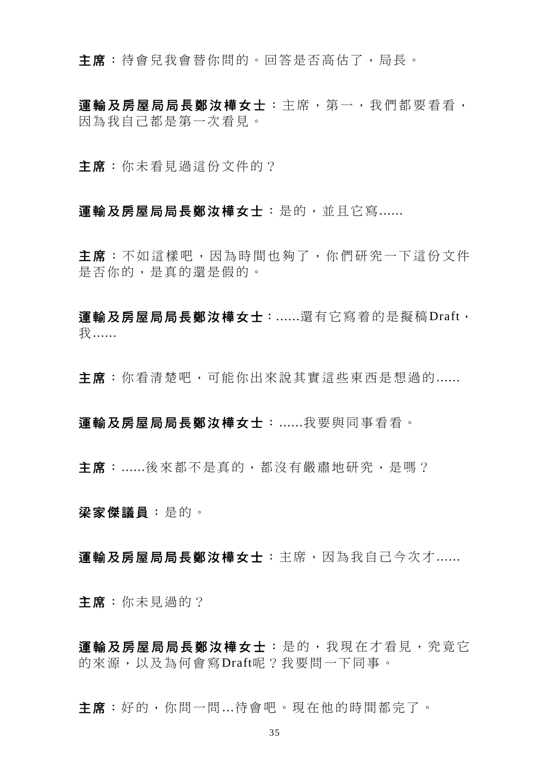主席:待會兒我會替你問的。回答是否高估了,局長。

運輸及房屋局局長鄭汝樺女士:主席,第一,我們都要看看, 因為我自己都是第一次看見。

主席:你未看見過這份文件的?

運輸及房屋局局長鄭汝樺女士:是的,並且它寫......

主席:不如這樣吧,因為時間也夠了,你們研究一下這份文件 是否你的,是真的還是假的。

運輸及房屋局局長鄭汝樺女士:......還有它寫着的是擬稿Draft, 我......

主席:你看清楚吧,可能你出來說其實這些東西是想過的......

運輸及房屋局局長鄭汝樺女士:......我要與同事看看。

主席:......後來都不是真的,都沒有嚴肅地研究,是嗎?

梁家傑議員:是的。

運輸及房屋局局長鄭汝樺女士:主席,因為我自己今次才......

主席:你未見過的?

運輸及房屋局局長鄭汝樺女士:是的,我現在才看見,究竟它 的來源,以及為何會寫Draft呢?我要問一下同事。

主席:好的,你問一問…待會吧。現在他的時間都完了。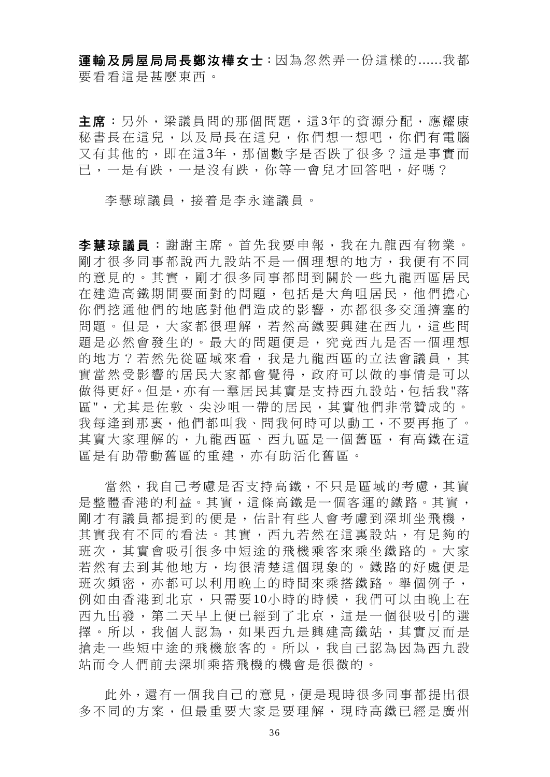運輸及房屋局局長鄭汝樺女士:因為忽然弄一份這樣的......我都 要看看這是甚麼東西。

主席:另外,梁議員問的那個問題,這3年的資源分配,應耀康 秘書長在這兒,以及局長在這兒,你們想一想吧,你們有電腦 又有其他的,即在這3年,那個數字是否跌了很多?這是事實而 已,一是有跌,一是沒有跌,你等一會兒才回答吧,好嗎?

李慧琼議員,接着是李永達議員。

李慧琼議員 :謝謝主席。首先我要申報,我在九龍西有物業。 剛才很多同事都說西九設站不是一個理想的地方,我便有不同 的意見的。其實,剛才很多同事都問到關於一些九龍西區居民 在建造高鐵期間要面對的問題,包括是大角咀居民,他們擔心 你們挖通他們的地底對他們造成的影響,亦都很多交通擠塞的 問題。但是,大家都很理解,若然高鐵要興建在西九,這些問 題是必然會發生的。最大的問題便是,究竟西九是否一個理想 的地方?若然先從區域來看,我是九龍西區的立法會議員,其 實當然受影響的居民大家都會覺得,政府可以做的事情是可以 做得更好。但是,亦有一羣居民其實是支持西九設站,包括我"落 區",尤其是佐敦、尖沙咀一帶的居民,其實他們非常贊成的。 我每逢到那裏,他們都叫我、問我何時可以動工,不要再拖了。 其實大家理解的,九龍西區、西九區是一個舊區,有高鐵在這 區是有助帶動舊區的重建,亦有助活化舊區。

當然,我自己考慮是否支持高鐵,不只是區域的考慮,其實 是整體香港的利益。其實,這條高鐵是一個客運的鐵路。其實, 剛才有議員都提到的便是,估計有些人會考慮到深圳坐飛機, 其實我有不同的看法。其實,西九若然在這裏設站,有足夠的 班次,其實會吸引很多中短涂的飛機乘客來乘坐鐵路的。大家 若然有去到其他地方,均很清楚這個現象的。鐵路的好處便是 班次頻密,亦都可以利用晚上的時間來乘搭鐵路。舉個例子, 例如由香港到北京,只需要10小時的時候,我們可以由晚上在 西九出發,第二天早上便已經到了北京,這是一個很吸引的選 擇。所以,我個人認為,如果西九是興建高鐵站,其實反而是 搶走一些短中途的飛機旅客的。所以,我自己認為因為西九設 站而令人們前去深圳乘搭飛機的機會是很微的。

此外,還有一個我自己的意見,便是現時很多同事都提出很 多不同的方案,但最重要大家是要理解,現時高鐵已經是廣州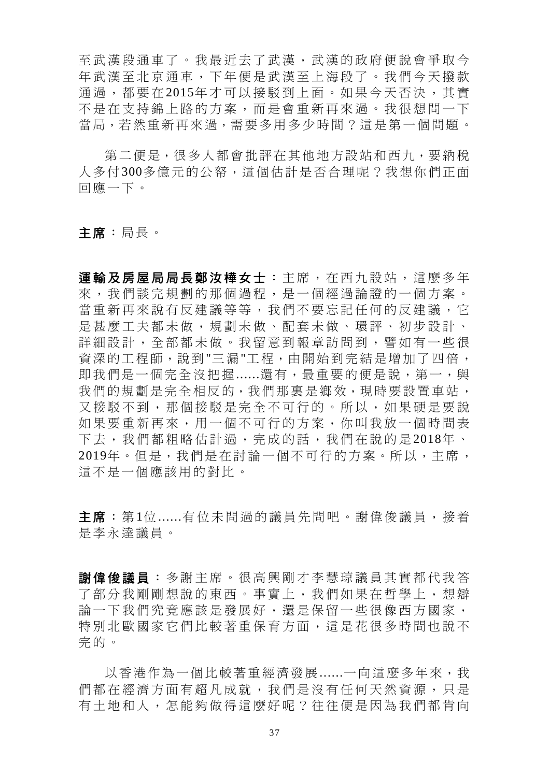至武漢段通車了。我最近去了武漢,武漢的政府便說會爭取今 年武漢至北京通車,下年便是武漢至上海段了。我們今天撥款 通過,都要在 2015年才可以接駁到上面。如果今天否決,其實 不是在支持錦上路的方案,而是會重新再來過。我很想問一下 當局,若然重新再來過,需要多用多少時間?這是第一個問題。

第二便是,很多人都會批評在其他地方設站和西九,要納稅 人多付300多億元的公帑,這個估計是否合理呢?我想你們正面 回應一下。

主席:局長。

軍輪及房屋局局長鄭汝樺女士:主席,在西九設站,這麼多年 來,我們談完規劃的那個過程,是一個經過論證的一個方案。 當重新再來說有反建議等等,我們不要忘記任何的反建議,它 是甚麼工夫都未做,規劃未做、配套未做、環評、初步設計、 詳細設計,全部都未做。我留意到報章訪問到,譬如有一些很 資深的工程師,說到"三漏"工程,由開始到完結是增加了四倍, 即我們是一個完全沒把握......還有,最重要的便是說,第一,與 我們的規劃是完全相反的,我們那裏是鄉效,現時要設置車站, 又接駁不到,那個接駁是完全不可行的。所以,如果硬是要說 如果要重新再來,用一個不可行的方案,你叫我放一個時間表 下去,我們都粗略估計過,完成的話,我們在說的是 2018年、 2019年。但是,我們是在討論一個不可行的方案。所以,主席, 這不是一個應該用的對比。

主席: 第1位......有位未問過的議員先問吧。謝偉俊議員, 接着 是李永達議員。

**謝偉俊議員**:多謝主席。很高興剛才李慧琼議員其實都代我答 了部分我剛剛想說的東西。事實上,我們如果在哲學上,想辯 論一下我們究竟應該是發展好,還是保留一些很像西方國家, 特別北歐國家它們比較著重保育方面,這是花很多時間也說不 完的。

以香港作為一個比較著重經濟發展......一向這麼多年來,我 們都在經濟方面有超凡成就,我們是沒有任何天然資源,只是 有土地和人,怎能夠做得這麼好呢?往往便是因為我們都肯向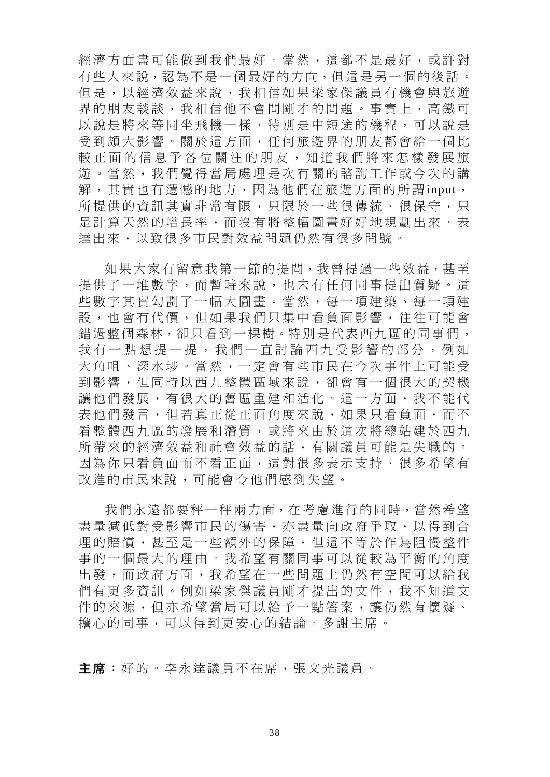經濟方面盡可能做到我們最好。當然,這都不是最好,或許對 有些人來說,認為不是一個最好的方向,但這是另一個的後話。 但是,以經濟效益來說,我相信如果梁家傑議員有機會與旅遊 界的朋友談談,我相信他不會問剛才的問題。事實上,高鐵可 以說是將來等同坐飛機一樣,特別是中短途的機程,可以說是 受到頗大影響。關於這方面,任何旅遊界的朋友都會給一個比 較正面的信息予各位關注的朋友,知道我們將來怎樣發展旅 遊。當然,我們覺得當局處理是次有關的諮詢工作或今次的講 解,其實也有遺憾的地方,因為他們在旅遊方面的所謂input, 所提供的資訊其實非常有限,只限於一些很傳統、很保守,只 是計算天然的增長率,而沒有將整幅圖畫好好地規劃出來、表 達出來,以致很多市民對效益問題仍然有很多問號。

如果大家有留意我第一節的提問,我曾提過一些效益,甚至 提供了一堆數字,而暫時來說,也未有任何同事提出質疑。這 些數字其實勾劃了一幅大圖畫。當然,每一項建築、每一項建 設,也會有代價,但如果我們只集中看負面影響,往往可能會 錯過整個森林,卻只看到一棵樹。特別是代表西九區的同事們, 我有一點想提一提,我們一直討論西九受影響的部分,例如 大角咀、深水埗。當然,一定會有些市民在今次事件上可能受 到影響,但同時以西九整體區域來說,卻會有一個很大的契機 讓他們發展,有很大的舊區重建和活化。這一方面,我不能代 表他們發言,但若真正從正面角度來說,如果只看負面,而不 看整體西九區的發展和潛質,或將來由於這次將總站建於西九 所帶來的經濟效益和社會效益的話,有關議員可能是失職的。 因為你只看負面而不看正面,這對很多表示支持、很多希望有 改進的市民來說,可能會令他們感到失望。

我們永遠都要秤一秤兩方面,在考慮進行的同時,當然希望 盡量減低對受影響市民的傷害,亦盡量向政府爭取,以得到合 理的賠償,甚至是一些額外的保障,但這不等於作為阻慢整件 事的一個最大的理由。我希望有關同事可以從較為平衡的角度 出發,而政府方面,我希望在一些問題上仍然有空間可以給我 們有更多資訊。例如梁家傑議員剛才提出的文件,我不知道文 件的來源,但亦希望當局可以給予一點答案,讓仍然有懷疑、 擔心的同事,可以得到更安心的結論。多謝主席。

主席:好的。李永達議員不在席,張文光議員。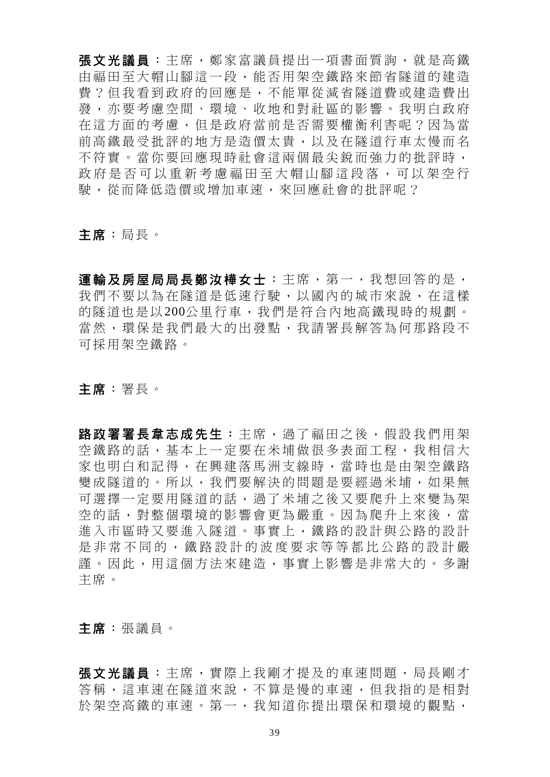張文光議員 : 主席, 鄭家富議員提出一項書面質詢, 就是高鐵 由福田至大帽山腳這一段,能否用架空鐵路來節省隧道的建造 費?但我看到政府的回應是,不能單從減省隧道費或建造費出 發,亦要考慮空間、環境、收地和對社區的影響。我明白政府 在這方面的考慮,但是政府當前是否需要權衡利害呢?因為當 前高鐵最受批評的地方是造價太貴,以及在隧道行車太慢而名 不符實。當你要回應現時社會這兩個最尖銳而強力的批評時, 政府是否可以重新考慮福田至大帽山腳這段落,可以架空行 駛,從而降低造價或增加車速,來回應社會的批評呢?

主席:局長。

運輸及房屋局局長鄭汝樺女士:主席,第一,我想回答的是, 我們不要以為在隧道是低速行駛,以國內的城市來說,在這樣 的隊道也是以200公里行車,我們是符合內地高鐵現時的規劃。 當然,環保是我們最大的出發點,我請署長解答為何那路段不 可採用架空鐵路。

# 主席:署長。

路政署署長韋志成先生: 主席, 過了福田之後, 假設我們用架 空鐵路的話,基本上一定要在米埔做很多表面工程,我相信大 家也明白和記得,在興建落馬洲支線時,當時也是由架空鐵路 變成隧道的。所以,我們要解決的問題是要經過米埔,如果無 可選擇一定要用隊道的話,過了米埔之後又要爬升上來變為架 空的話,對整個環境的影響會更為嚴重。因為爬升上來後,當 進入市區時又要進入隧道。事實上,鐵路的設計與公路的設計 是非常不同的,鐵路設計的波度要求等等都比公路的設計嚴 謹。因此,用這個方法來建造,事實上影響是非常大的。多謝 主席。

主席:張議員。

張文光議員:主席,實際上我剛才提及的車速問題,局長剛才 答稱,這車速在隧道來說,不算是慢的車速,但我指的是相對 於架空高鐵的車速。第一,我知道你提出環保和環境的觀點,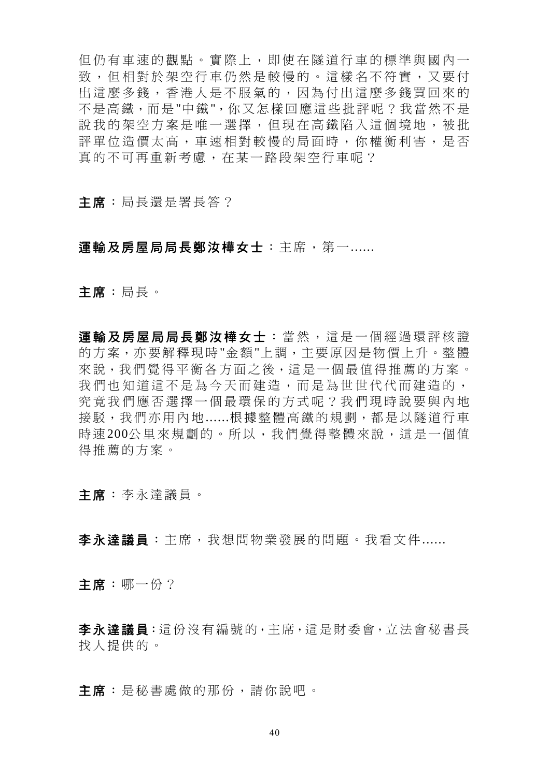但仍有車速的觀點。實際上,即使在隧道行車的標準與國內一 致,但相對於架空行車仍然是較慢的。這樣名不符實,又要付 出這麼多錢,香港人是不服氣的,因為付出這麼多錢買回來的 不是高鐵,而是"中鐵",你又怎樣回應這些批評呢?我當然不是 說我的架空方案是唯一選擇,但現在高鐵陷入這個境地,被批 評單位造價太高,車速相對較慢的局面時,你權衡利害,是否 真的不可再重新考慮,在某一路段架空行車呢?

主席:局長還是署長答?

# 軍輪及房屋局局長鄭汝樺女士: 主席, 第一......

主席:局長。

運輸及房屋局局長鄭汝樺女士:當然,這是一個經過環評核證 的方案,亦要解釋現時"金額"上調,主要原因是物價上升。整體 來說,我們覺得平衡各方面之後,這是一個最值得推薦的方案。 我們也知道這不是為今天而建造,而是為世世代代而建造的, 究竟我們應否選擇一個最環保的方式呢?我們現時說要與內地 接駁,我們亦用內地......根據整體高鐵的規劃,都是以隧道行車 時速200公里來規劃的。所以,我們覺得整體來說,這是一個值 得推薦的方案。

主席:李永達議員。

李永達議員:主席,我想問物業發展的問題。我看文件......

主席:哪一份?

李永達議員:這份沒有編號的,主席,這是財委會,立法會秘書長 找人提供的。

主席:是秘書處做的那份,請你說吧。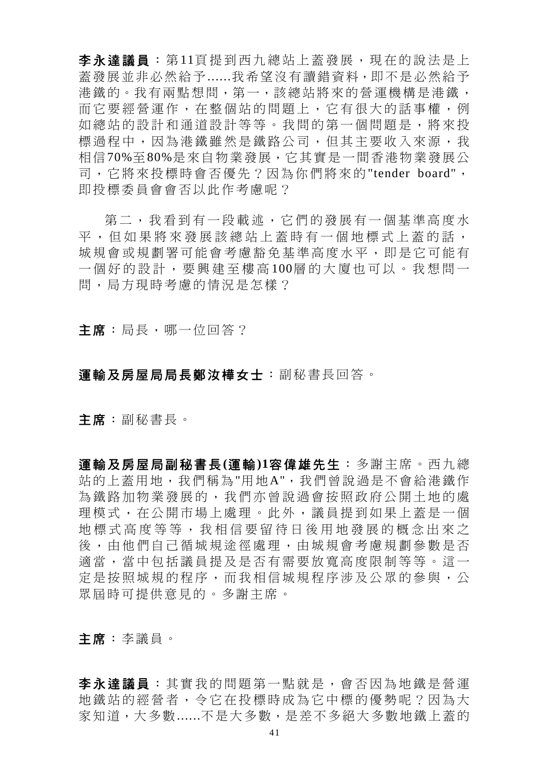李永達議員:第11頁提到西九總站上蓋發展,現在的說法是上 蓋發展並非必然給予......我希望沒有讀錯資料,即不是必然給予 港鐵的。我有兩點想問,第一,該總站將來的營運機構是港鐵, 而它要經營運作,在整個站的問題上,它有很大的話事權,例 如總站的設計和通道設計等等。我問的第一個問題是,將來投 標過程中,因為溝鐵雖然是鐵路公司,但其主要收入來源,我 相信70%至80%是來自物業發展,它其實是一間香港物業發展公 司,它將來投標時會否優先?因為你們將來的"tender board", 即投標委員會會否以此作考慮呢?

第二,我看到有一段載述,它們的發展有一個基準高度水 平,但如果將來發展該總站上蓋時有一個地標式上蓋的話, 城規會或規劃署可能會考慮豁免基準高度水平,即是它可能有 一個好的設計,要興建至樓高 100層的大廈也可以。我想問一 問,局方現時考慮的情況是怎樣?

主席:局長,哪一位回答?

# 運輸及房屋局局長鄭汝樺女士:副秘書長回答。

主席:副秘書長。

運輸及房屋局副秘書長**(**運輸**)1**容偉雄先生:多謝主席。西九總 站的上蓋用地,我們稱為"用地A",我們曾說過是不會給港鐵作 為鐵路加物業發展的,我們亦曾說過會按照政府公開土地的處 理模式,在公開市場上處理。此外,議員提到如果上蓋是一個 地標式高度等等,我相信要留待日後用地發展的概念出來之 後,由他們自己循城規涂徑處理,由城規會考慮規劃參數是否 適當,當中包括議員提及是否有需要放寬高度限制等等。這一 定是按照城規的程序,而我相信城規程序涉及公眾的參與,公 眾屆時可提供意見的。多謝主席。

主席:李議員。

李永達議員:其實我的問題第一點就是,會否因為地鐵是營運 地鐵站的經營者,令它在投標時成為它中標的優勢呢?因為大 家知道,大多數......不是大多數,是差不多絕大多數地鐵上蓋的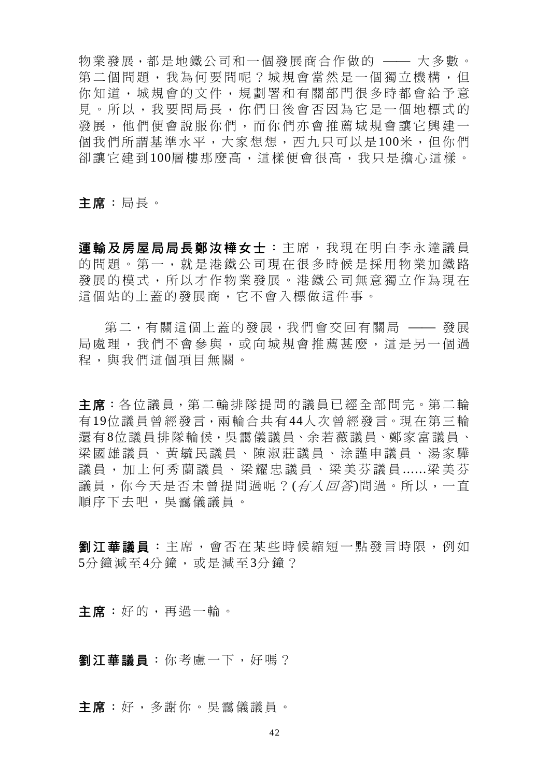物業發展,都是地鐵公司和一個發展商合作做的 —— 大多數。 第二個問題,我為何要問呢?城規會當然是一個獨立機構,但 你知道,城規會的文件,規劃署和有關部門很多時都會給予意 見。所以,我要問局長,你們日後會否因為它是一個地標式的 發展,他們便會說服你們,而你們亦會推薦城規會讓它興建一 個我們所謂基準水平,大家想想,西九只可以是100米,但你們 卻讓它建到100層樓那麼高,這樣便會很高,我只是擔心這樣。

主席:局長。

運輸及房屋局局長鄭汝樺女士:主席,我現在明白李永達議員 的問題。第一,就是港鐵公司現在很多時候是採用物業加鐵路 發展的模式,所以才作物業發展。港鐵公司無意獨立作為現在 這個站的上蓋的發展商,它不會入標做這件事。

第二,有關這個上蓋的發展,我們會交回有關局 —— 發展 局處理,我們不會參與,或向城規會推薦甚麼,這是另一個渦 程,與我們這個項目無關。

主席:各位議員,第二輪排隊提問的議員已經全部問完。第二輪 有19位議員曾經發言,兩輪合共有44人次曾經發言。現在第三輪 還有8位議員排隊輪候,吳靄儀議員、余若薇議員、鄭家富議員、 梁國雄議員、黃毓民議員、陳淑莊議員、涂謹申議員、湯家驊 議員,加上何秀蘭議員、梁耀忠議員、梁美芬議員 ......梁美芬 議員,你今天是否未曾提問過呢?(有人回答)問過。所以,一直 順序下去吧,吳靄儀議員。

劉江華議員:主席,會否在某些時候縮短一點發言時限,例如 5分鐘減至4分鐘,或是減至3分鐘?

主席:好的,再過一輪。

劉江華議員:你考慮一下,好嗎?

主席:好,多謝你。吳靄儀議員。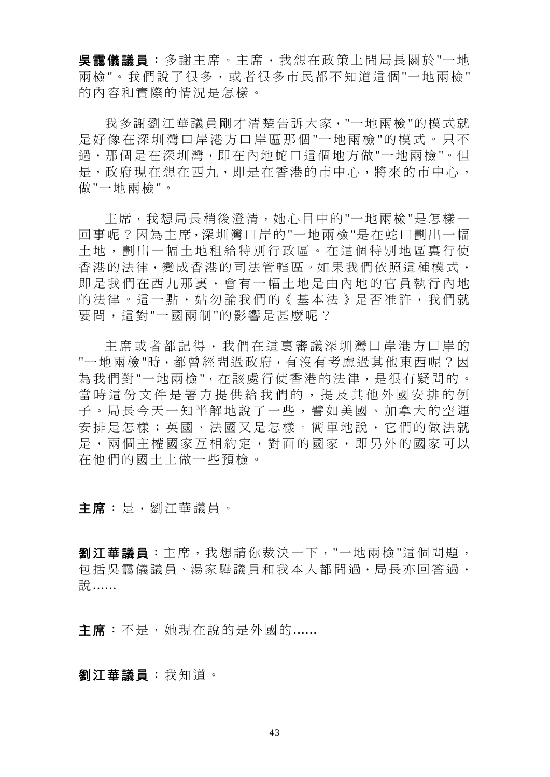吳靄儀議員:多謝主席。主席,我想在政策上問局長關於"一地 兩檢"。我們說了很多,或者很多市民都不知道這個"一地兩檢" 的內容和實際的情況是怎樣。

我多謝劉江華議員剛才清楚告訴大家,"一地兩檢"的模式就 是好像在深圳灣口岸港方口岸區那個 "一地兩檢 "的模式。只不 過,那個是在深圳灣,即在內地蛇口這個地方做"一地兩檢"。但 是,政府現在想在西九,即是在香港的市中心,將來的市中心, 做"一地兩檢"。

主席,我想局長稍後澄清,她心目中的"一地兩檢"是怎樣一 回事呢?因為主席,深圳灣口岸的"一地兩檢"是在蛇口劃出一幅 土地,劃出一幅土地租給特別行政區。在這個特別地區裏行使 香港的法律,變成香港的司法管轄區。如果我們依照這種模式, 即是我們在西九那裏,會有一幅土地是由內地的官員執行內地 的法律。這一點,姑勿論我們的《基本法》是否准許,我們就 要問,這對"一國兩制"的影響是甚麼呢?

主席或者都記得,我們在這裏審議 深圳灣口岸港方口岸的 "一地兩檢"時,都曾經問過政府,有沒有考慮過其他東西呢?因 為我們對"一地兩檢",在該處行使香港的法律,是很有疑問的。 當時這份文件是署方提供給我們的,提及其他外國安排的例 子。局長今天一知半解地說了一些,譬如美國、加拿大的空運 安排是怎樣;英國、法國又是怎樣。簡單地說,它們的做法就 是,兩個主權國家互相約定,對面的國家,即另外的國家可以 在他們的國土上做一些預檢。

主席:是,劉江華議員。

劉江華議員:主席,我想請你裁決一下,"一地兩檢"這個問題, 包括吳靄儀議員、湯家驊議員和我本人都問過,局長亦回答過, 說......

主席:不是,她現在說的是外國的......

#### 劉江華議員:我知道。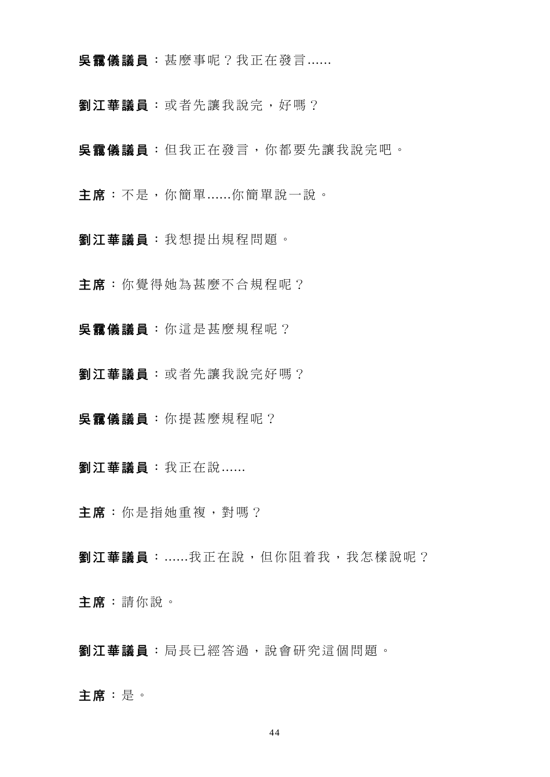# 吳靄儀議員:甚麼事呢?我正在發言......

- 劉江華議員:或者先讓我說完,好嗎?
- 吳靄儀議員:但我正在發言,你都要先讓我說完吧。
- 主席:不是,你簡單......你簡單說一說。
- 劉江華議員:我想提出規程問題。
- 主席:你覺得她為甚麼不合規程呢?
- 吳靄儀議員:你這是甚麼規程呢?
- 劉江華議員:或者先讓我說完好嗎?
- 吳靄儀議員:你提甚麼規程呢?
- 劉江華議員:我正在說......
- 主席:你是指她重複,對嗎?
- 劉江華議員:......我正在說,但你阻着我,我怎樣說呢?
- 主席:請你說。
- 劉江華議員:局長已經答過,說會研究這個問題。

# 主席:是。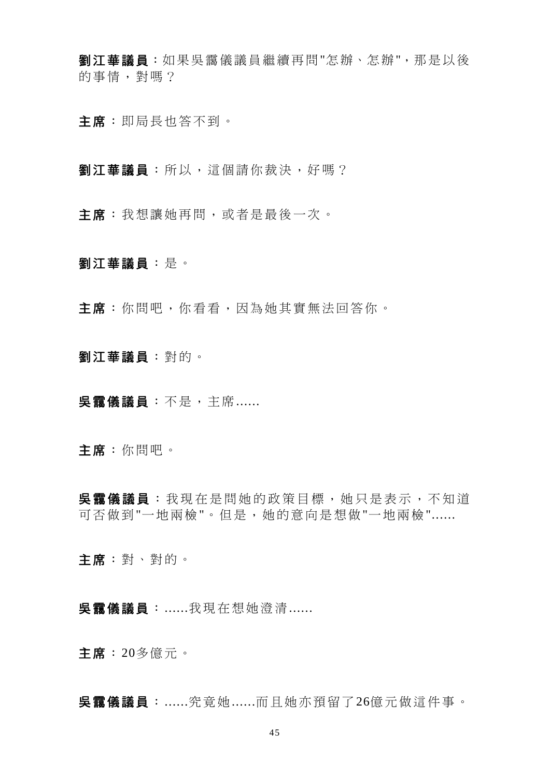劉江華議員:如果吳靄儀議員繼續再問"怎辦、怎辦",那是以後 的事情,對嗎?

- 主席:即局長也答不到。
- 劉江華議員:所以,這個請你裁決,好嗎?
- 主席:我想讓她再問,或者是最後一次。
- 劉江華議員:是。
- 主席:你問吧,你看看,因為她其實無法回答你。
- 劉江華議員:對的。
- 吳靄儀議員:不是,主席......
- 主席:你問吧。

吳靄儀議員 :我現在是問她的政策目標,她只是表示,不知道 可否做到"一地兩檢"。但是,她的意向是想做"一地兩檢"......

主席:對、對的。

吳靄儀議員:......我現在想她澄清......

主席:20多億元。

吳靄儀議員:......究竟她......而且她亦預留了26億元做這件事。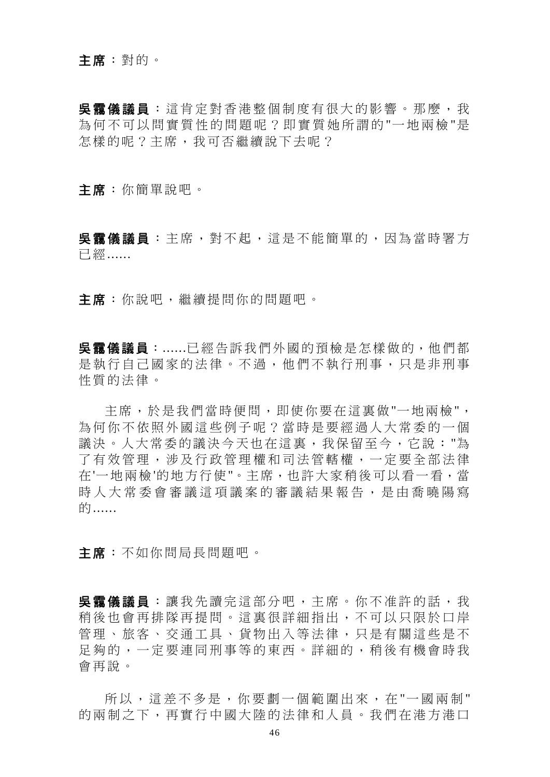### 主席:對的。

**吳靄儀議員**:這肯定對香港整個制度有很大的影響。那麼,我 為何不可以問實質性的問題呢?即實質她所謂的 "一地兩檢 "是 怎樣的呢?主席,我可否繼續說下去呢?

主席:你簡單說吧。

具靄儀議員:主席,對不起,這是不能簡單的,因為當時署方 已經......

主席:你說吧,繼續提問你的問題吧。

吳靄儀議員:......已經告訴我們外國的預檢是怎樣做的,他們都 是執行自己國家的法律。不過,他們不執行刑事,只是非刑事 性質的法律。

主席,於是我們當時便問,即使你要在這裏做"一地兩檢", 為何你不依照外國這些例子呢?當時是要經過人大常委的一個 議決。人大常委的議決今天也在這裏,我保留至今,它說:"為 了有效管理,涉及行政管理權和司法管轄權,一定要全部法律 在'一地兩檢'的地方行使"。主席,也許大家稍後可以看一看,當 時人大常委會審議這項議案的審議結果報告,是由喬曉陽寫 的......

主席:不如你問局長問題吧。

吳靄儀議員 :讓我先讀完這部分吧,主席。你不准許的話,我 稍後也會再排隊再提問。這裏很詳細指出,不可以只限於口岸 管理、旅客、交通工具、貨物出入等法律,只是有關這些是不 足夠的,一定要連同刑事等的東西。詳細的,稍後有機會時我 會再說。

所以,這差不多是,你要劃一個範圍出來,在"一國兩制" 的兩制之下,再實行中國大陸的法律和人員。我們在港方港口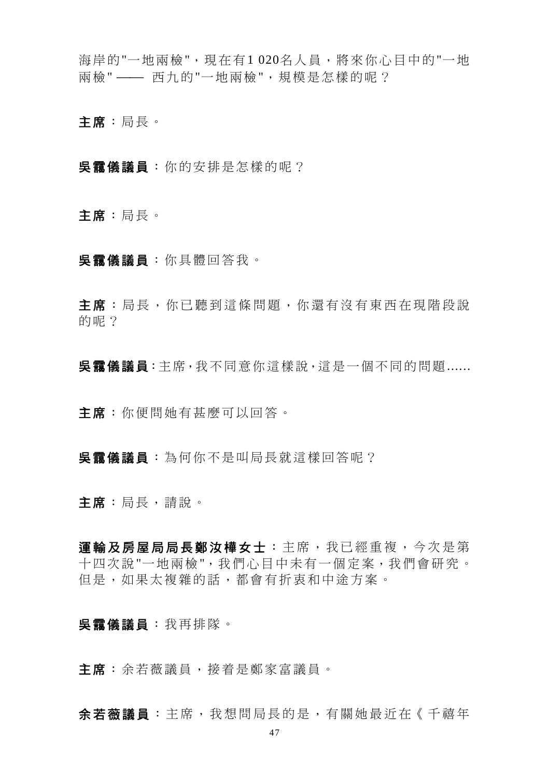海岸的"一地兩檢",現在有1020名人員,將來你心目中的"一地 兩檢" —— 西九的"一地兩檢", 規模是怎樣的呢?

主席:局長。

吳靄儀議員:你的安排是怎樣的呢?

主席:局長。

吳靄儀議員:你具體回答我。

主席:局長,你已聽到這條問題,你還有沒有東西在現階段說 的呢?

吳靄儀議員:主席,我不同意你這樣說,這是一個不同的問題......

主席:你便問她有甚麼可以回答。

吳靄儀議員:為何你不是叫局長就這樣回答呢?

主席:局長,請說。

運輸及房屋局局長鄭汝樺女士:主席,我已經重複,今次是第 十四次說"一地兩檢",我們心目中未有一個定案,我們會研究。 但是,如果太複雜的話,都會有折衷和中途方案。

吳靄儀議員:我再排隊。

主席:余若薇議員,接着是鄭家富議員。

余若薇議員 :主席,我想問局長的是,有關她最近在《千禧年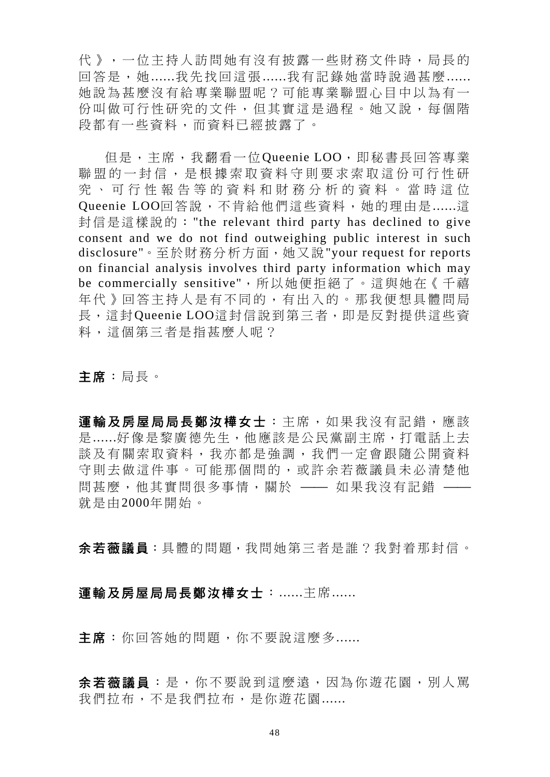代》,一位主持人訪問她有沒有披露一些財務文件時,局長的 回答是,她 ......我先找回這張 ......我有記錄她當時說過甚麼 ...... 她說為甚麼沒有給專業聯盟呢?可能專業聯盟心目中以為有一 份叫做可行性研究的文件,但其實這是過程。她又說,每個階 段都有一些資料,而資料已經披露了。

但是,主席,我翻看一位Queenie LOO,即秘書長回答專業 聯盟的一封信,是根據索取資料守則要求索取這份可行性研 究、可行性報告等的資料和財務分析的資料。當時這位 Queenie LOO回答說,不肯給他們這些資料,她的理由是......這 封信是這樣說的:"the relevant third party has declined to give consent and we do not find outweighing public interest in such disclosure"。至於財務分析方面,她又說"your request for reports on financial analysis involves third party information which may be commercially sensitive",所以她便拒絕了。這與她在《千禧 年代》回答主持人是有不同的,有出入的。那我便想具體問局 長,這封Queenie LOO這封信說到第三者,即是反對提供這些資 料,這個第三者是指甚麼人呢?

主席:局長。

運輸及房屋局局長鄭汝樺女士:主席,如果我沒有記錯,應該 是......好像是黎廣德先生,他應該是公民黨副主席,打電話上去 談及有關索取資料,我亦都是強調,我們一定會跟隨公開資料 守則去做這件事。可能那個問的,或許余若薇議員未必清楚他 問甚麼,他其實問很多事情,關於 —— 如果我沒有記錯 —— 就是由2000年開始。

余若薇議員:具體的問題,我問她第三者是誰?我對着那封信。

運輸及房屋局局長鄭汝樺女士:......主席......

主席:你回答她的問題,你不要說這麼多......

余若薇議員:是,你不要說到這麼遠,因為你遊花園,別人罵 我們拉布,不是我們拉布,是你游花園......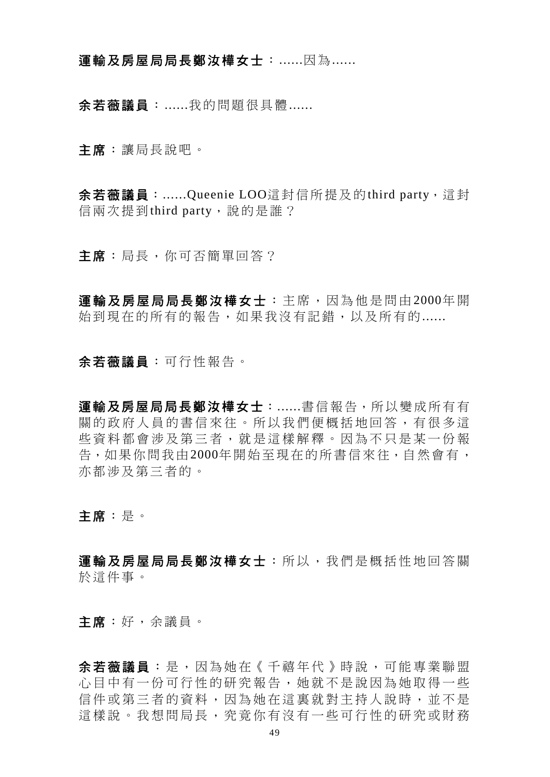# 運輸及房屋局局長鄭汝樺女士:......因為......

余若薇議員:......我的問題很具體......

主席:讓局長說吧。

余若薇議員:......Queenie LOO這封信所提及的third party,這封 信兩次提到third party,說的是誰?

主席:局長,你可否簡單回答?

運輸及房屋局局長鄭汝樺女士:主席,因為他是問由 2000年開 始到現在的所有的報告,如果我沒有記錯,以及所有的......

# 余若薇議員:可行性報告。

運輸及房屋局局長鄭汝樺女士:......書信報告,所以變成所有有 關的政府人員的書信來往。所以我們便概括地回答,有很多這 些資料都會涉及第三者,就是這樣解釋。因為不只是某一份報 告,如果你問我由2000年開始至現在的所書信來往,自然會有, 亦都涉及第三者的。

## 主席:是。

軍輪及房屋局局長鄭汝樺女十:所以,我們是概括性地回答關 於這件事。

主席:好,余議員。

余若薇議員 :是,因為她在《千禧年代》時說,可能專業聯盟 心目中有一份可行性的研究報告,她就不是說因為她取得一些 信件或第三者的資料,因為她在這裏就對主持人說時,並不是 這樣說。我想問局長,究竟你有沒有一些可行性的研究或財務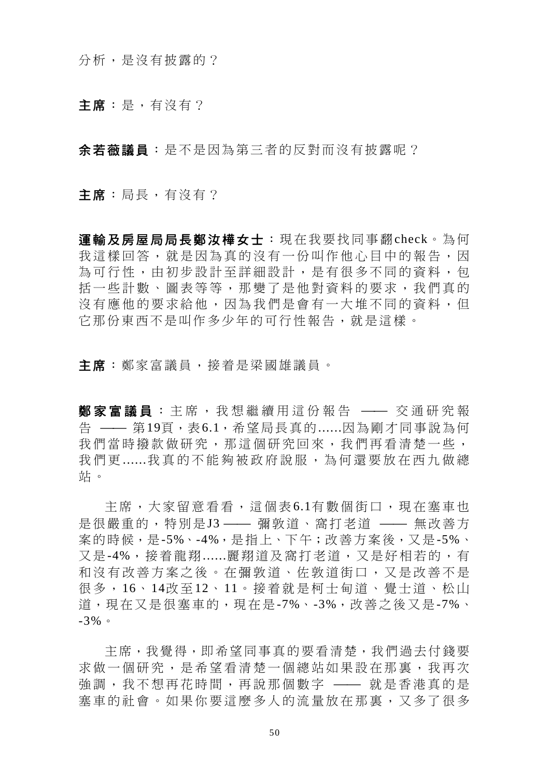分析,是沒有披露的?

#### 主席:是,有沒有?

余若薇議員:是不是因為第三者的反對而沒有披露呢?

主席:局長,有沒有?

運輸及房屋局局長鄭汝樺女士:現在我要找同事翻check。為何 我這樣回答,就是因為真的沒有一份叫作他心目中的報告,因 為可行性,由初步設計至詳細設計,是有很多不同的資料,包 括一些計數、圖表等等,那變了是他對資料的要求,我們真的 沒有應他的要求給他,因為我們是會有一大堆不同的資料,但 它那份東西不是叫作多少年的可行性報告,就是這樣。

主席:鄭家富議員,接着是梁國雄議員。

**鄭家富議員**: 主席,我想繼續用這份報告 —— 交涌研究報 告 —— 第19頁,表6.1,希望局長真的......因為剛才同事說為何 我們當時撥款做研究,那這個研究回來,我們再看清楚一些, 我們更 ......我真的不能夠被政府說服,為何還要放在西九做總 站。

主席,大家留意看看,這個表6.1有數個街口,現在塞車也 是很嚴重的,特別是J3 —— 彌敦道、窩打老道 —— 無改善方 案的時候,是-5%、-4%,是指上、下午;改善方案後,又是-5%、 又是-4%,接着龍翔......麗翔道及窩打老道,又是好相若的,有 和沒有改善方案之後。在彌敦道、佐敦道街口,又是改善不是 很多,16、14改至12、11。接着就是柯士甸道、覺士道、松山 道,現在又是很塞車的,現在是-7%、-3%,改善之後又是-7%、 -3%。

主席,我覺得,即希望同事真的要看清楚,我們過去付錢要 求做一個研究,是希望看清楚一個總站如果設在那裏,我再次 強調,我不想再花時間,再說那個數字 —— 就是香港真的是 塞車的社會。如果你要這麼多人的流量放在那裏,又多了很多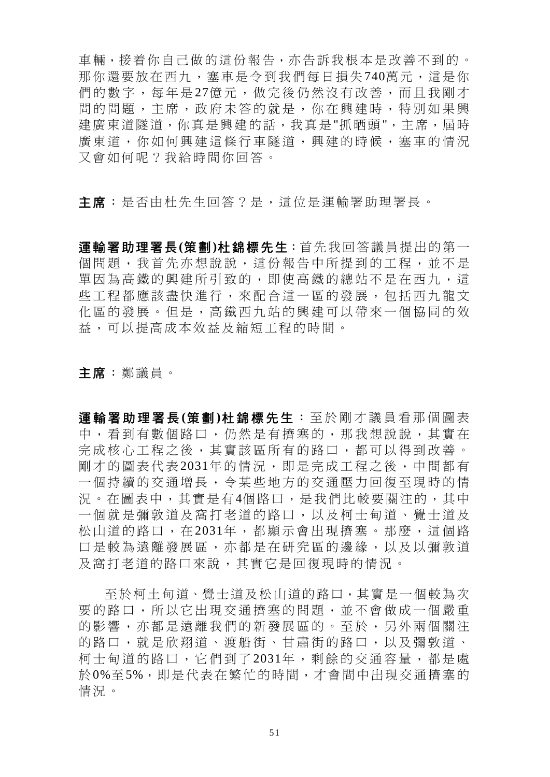車輛,接着你自己做的這份報告,亦告訴我根本是改善不到的。 那你還要放在西九,塞車是今到我們每日損失740萬元,這是你 們的數字,每年是 27億元,做完後仍然沒有改善,而且我剛才 問的問題,主席,政府未答的就是,你在興建時,特別如果興 建廣東道隧道,你真是興建的話,我真是"抓晒頭",主席,屆時 庸東道,你如何興建這條行車隊道,興建的時候,塞車的情況 又會如何呢?我給時間你回答。

主席:是否由杜先生回答?是,這位是運輸署助理署長。

運輸署助理署長**(**策劃**)**杜錦標先生:首先我回答議員提出的第一 個問題,我首先亦想說說,這份報告中所提到的工程,並不是 單因為高鐵的興建所引致的,即使高鐵的總站不是在西九,這 些工程都應該盡快進行,來配合這一區的發展,包括西九龍文 化區的發展。但是,高鐵西九站的興建可以帶來一個協同的效 益,可以提高成本效益及縮短工程的時間。

主席:鄭議員。

運輸署助理署長 **(**策 劃 **)**杜錦標先生 :至於剛才議員看那個圖表 中,看到有數個路口,仍然是有擠塞的,那我想說說,其實在 完成核心工程之後,其實該區所有的路口,都可以得到改善。 剛才的圖表代表 2031年的情況,即是完成工程之後,中間都有 一個持續的交通增長,令某些地方的交通壓力回復至現時的情 況。在圖表中,其實是有4個路口,是我們比較要關注的,其中 一個就是彌敦道及窩打老道的路口,以及柯士甸道、覺士道及 松山道的路口,在 2031年,都顯示會出現擠塞。那麼,這個路 口是較為遠離發展區,亦都是在研究區的邊緣,以及以彌敦道 及窩打老道的路口來說,其實它是回復現時的情況。

至於柯土甸道、覺士道及松山道的路口,其實是一個較為次 要的路口,所以它出現交通擠塞的問題,並不會做成一個嚴重 的影響,亦都是遠離我們的新發展區的。至於,另外兩個關注 的路口,就是欣翔道、渡船街、甘肅街的路口,以及彌敦道、 柯士甸道的路口,它們到了 2031年,剩餘的交通容量,都是處 於0%至5%,即是代表在繁忙的時間,才會間中出現交通擠塞的 情況。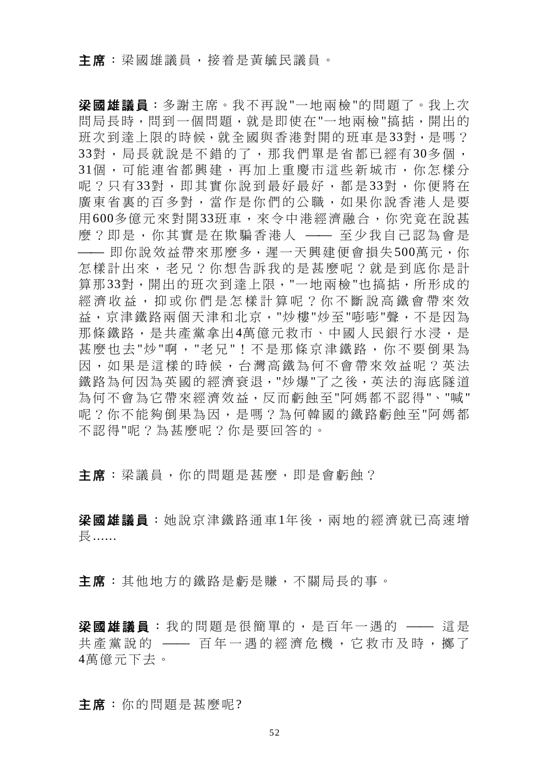主席:梁國雄議員,接着是黃毓民議員。

梁國雄議員:多謝主席。我不再說"一地兩檢"的問題了。我上次 問局長時,問到一個問題,就是即使在"一地兩檢"搞掂,開出的 班次到達上限的時候,就全國與香港對開的班車是33對,是嗎? 33對,局長就說是不錯的了,那我們單是省都已經有 30多個, 31個,可能連省都興建,再加上重慶市這些新城市,你怎樣分 呢?只有 33對, 即其實你說到最好最好, 都是 33對, 你便將在 廣東省裏的百多對,當作是你們的公職,如果你說香港人是要 用600多億元來對開33班車,來令中港經濟融合,你究竟在說甚 麼?即是,你其實是在欺騙香港人 —— 至少我自己認為會是 **——**即你說效益帶來那麼多,遲一天興建便會損失500萬元,你 怎樣計出來,老兄?你想告訴我的是甚麼呢?就是到底你是計 算那33對,開出的班次到達上限,"一地兩檢"也搞掂,所形成的 經濟收益,抑或你們是怎樣計算呢?你不斷說高鐵會帶來效 益,京津鐵路兩個天津和北京,"炒樓"炒至"嘭嘭"聲,不是因為 那條鐵路,是共產黨拿出4萬億元救市、中國人民銀行水浸,是 甚麼也去 "炒"啊, "老兄"!不是那條京津鐵路,你不要倒果為 因,如果是這樣的時候,台灣高鐵為何不會帶來效益呢?英法 鐵路為何因為英國的經濟衰退,"炒爆"了之後,英法的海底隊道 為何不會為它帶來經濟效益,反而虧蝕至"阿媽都不認得"、"喊" 呢?你不能夠倒果為因,是嗎?為何韓國的鐵路虧蝕至"阿媽都 不認得"呢?為甚麼呢?你是要回答的。

主席:梁議員,你的問題是甚麼,即是會虧蝕?

**梁國雄議員**: 她說京津鐵路涌車1年後, 兩地的經濟就已高速增 長......

主席:其他地方的鐵路是虧是賺,不關局長的事。

梁國雄議員:我的問題是很簡單的,是百年一遇的 –– 這是 共產黨說的 —— 百年一遇的經濟危機,它救市及時,擲了 4萬億元下去。

主席:你的問題是甚麼呢?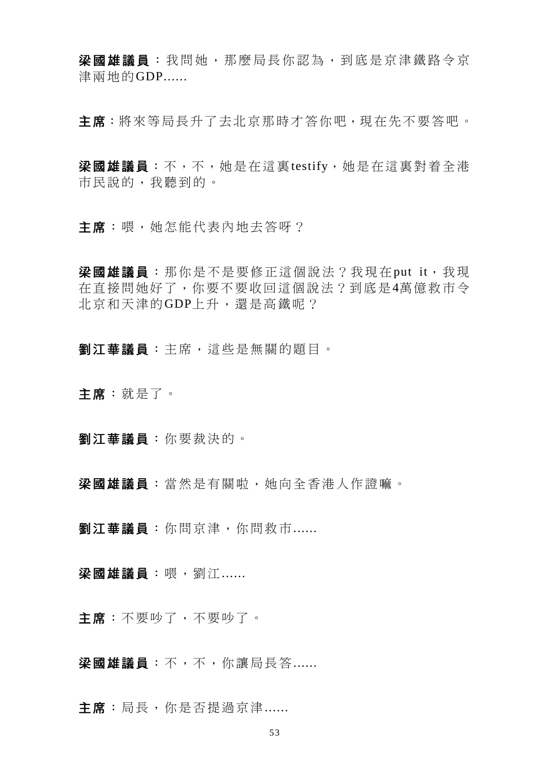梁國雄議員:我問她,那麼局長你認為,到底是京津鐵路今京 津兩地的GDP......

主席:將來等局長升了去北京那時才答你吧,現在先不要答吧。

梁國雄議員:不,不,她是在這裏testify,她是在這裏對着全港 市民說的,我聽到的。

主席:喂,她怎能代表內地去答呀?

梁國雄議員:那你是不是要修正這個說法?我現在put it,我現 在直接問她好了,你要不要收回這個說法?到底是4萬億救市令 北京和天津的GDP上升,還是高鐵呢?

劉江華議員:主席,這些是無關的題目。

主席:就是了。

劉江華議員:你要裁決的。

梁國雄議員:當然是有關啦,她向全香港人作證嘛。

劉江華議員:你問京津,你問救市......

梁國雄議員:喂,劉江 ......

主席:不要吵了,不要吵了。

梁國雄議員:不,不,你讓局長答......

主席:局長,你是否提過京津......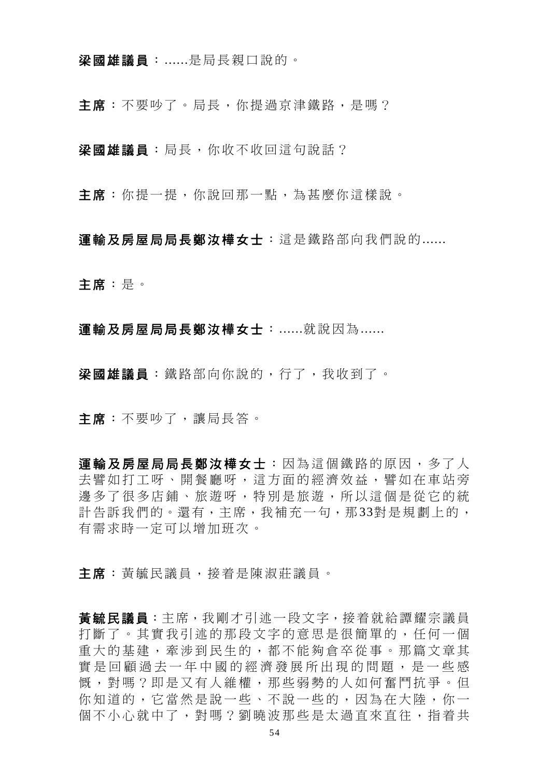# 梁國雄議員:......是局長親口說的。

主席:不要吵了。局長,你提過京津鐵路,是嗎?

梁國雄議員:局長,你收不收回這句說話?

主席:你提一提,你說回那一點,為甚麼你這樣說。

軍輪及房屋局局長鄭汝樺女士:這是鐵路部向我們說的......

主席:是。

軍輪及房屋局局長鄭汝樺女十:......就說因為......

梁國雄議員: 鐵路部向你說的, 行了, 我收到了。

主席:不要吵了,讓局長答。

運輸及房屋局局長鄭汝樺女士:因為這個鐵路的原因,多了人 去譬如打工呀、開餐廳呀,這方面的經濟效益,譬如在車站旁 邊多了很多店鋪、旅遊呀,特別是旅遊,所以這個是從它的統 計告訴我們的。還有,主席,我補充一句,那33對是規劃上的, 有需求時一定可以增加班次。

主席:黃毓民議員,接着是陳淑莊議員。

黃毓民議員:主席,我剛才引述一段文字,接着就給譚耀宗議員 打斷了。其實我引述的那段文字的意思是很簡單的,任何一個 重大的基建,奉涉到民生的,都不能夠倉卒從事。那篇文章其 實是回顧過去一年中國的經濟發展所出現的問題,是一些感 慨,對嗎?即是又有人維權,那些弱勢的人如何奮鬥抗爭。但 你知道的,它當然是說一些、不說一些的,因為在大陸,你一 個不小心就中了,對嗎?劉曉波那些是太過直來直往,指着共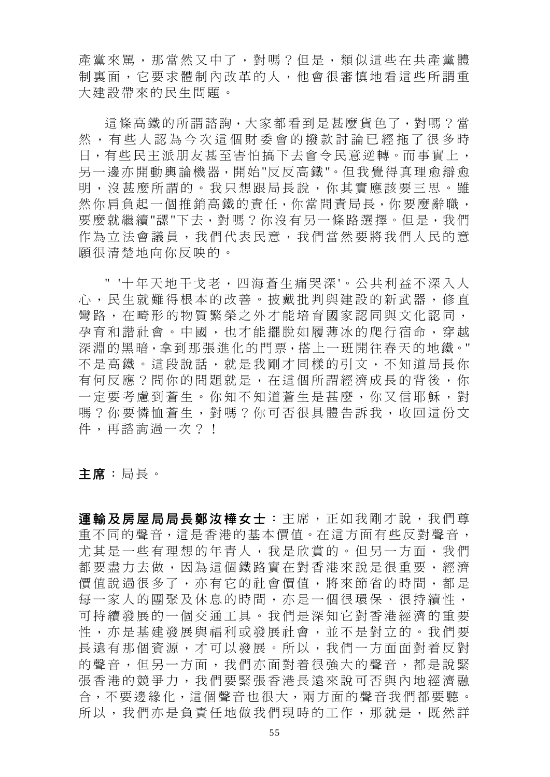產黨來罵,那當然又中了,對嗎?但是,類似這些在共產黨體 制裏面,它要求體制內改革的人,他會很審慎地看這些所謂重 大建設帶來的民生問題。

這條高鐵的所謂諮詢,大家都看到是甚麼貨色了,對嗎?當 然,有些人認為今次這個財委會的撥款討論已經拖了很多時 日,有些民主派朋友甚至害怕搞下去會令民意逆轉。而事實上, 另一邊亦開動輿論機器,開始"反反高鐵"。但我覺得真理愈辯愈 明,沒甚麼所謂的。我只想跟局長說,你其實應該要三思。雖 然你肩負起一個推銷高鐵的責任,你當問責局長,你要麼辭職, 要麼就繼續"摞"下去,對嗎?你沒有另一條路選擇。但是,我們 作為立法會議員,我們代表民意,我們當然要將我們人民的意 願很清楚地向你反映的。

" '十年天地干戈老,四海蒼生痛哭深'。公共利益不深入人 心,民生就難得根本的改善。披戴批判與建設的新武器,修直 彎路,在畸形的物質繁榮之外才能培育國家認同與文化認同, 孕育和諧社會。中國,也才能擺脫如履薄冰的爬行宿命,穿越 深淵的黑暗,拿到那張進化的門票,搭上一班開往春天的地鐵。" 不是高鐵。這段說話,就是我剛才同樣的引文,不知道局長你 有何反應?問你的問題就是,在這個所謂經濟成長的背後,你 一定要考慮到蒼生。你知不知道蒼生是甚麼,你又信耶穌,對 嗎?你要憐恤蒼生,對嗎?你可否很具體告訴我,收回這份文 件,再諮詢過一次?!

主席:局長。

運輸及房屋局局長鄭汝樺女士:主席,正如我剛才說,我們尊 重不同的聲音,這是香港的基本價值。在這方面有些反對聲音, 尤其是一些有理想的年青人,我是欣賞的。但另一方面,我們 都要盡力去做,因為這個鐵路實在對香港來說是很重要,經濟 價值說過很多了,亦有它的社會價值,將來節省的時間,都是 每一家人的團聚及休息的時間,亦是一個很環保、很持續性, 可持續發展的一個交通工具。我們是深知它對香港經濟的重要 性,亦是基建發展與福利或發展社會,並不是對立的。我們要 長遠有那個資源,才可以發展。所以,我們一方面面對着反對 的聲音,但另一方面,我們亦面對着很強大的聲音,都是說緊 張香港的競爭力,我們要緊張香港長遠來說可否與內地經濟融 合,不要邊緣化,這個聲音也很大,兩方面的聲音我們都要聽。 所以,我們亦是負責任地做我們現時的工作,那就是,既然詳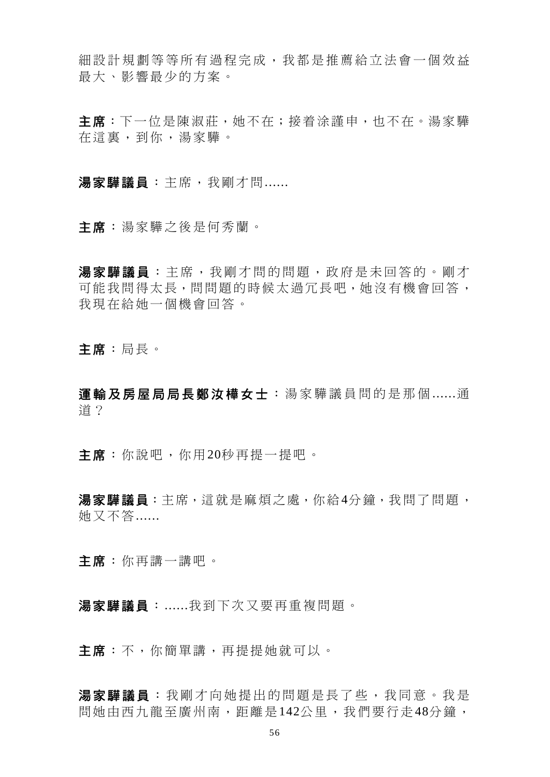細設計規劃等等所有過程完成,我都是推薦給立法會一個效益 最大、影響最少的方案。

主席:下一位是陳淑莊,她不在;接着涂謹申,也不在。湯家驊 在這裏,到你,湯家驊。

湯家驊議員:主席,我剛才問......

主席:湯家驊之後是何秀蘭。

湯家驊議員:主席,我剛才問的問題,政府是未回答的。剛才 可能我問得太長,問問題的時候太過冗長吧,她沒有機會回答, 我現在給她一個機會回答。

主席:局長。

運輸及房屋局局長鄭汝樺女士:湯家驊議員問的是那個 ......通 道?

主席:你說吧,你用20秒再提一提吧。

湯家驊議員:主席,這就是麻煩之處,你給4分鐘,我問了問題, 她又不答......

主席:你再講一講吧。

湯家驊議員:......我到下次又要再重複問題。

主席:不,你簡單講,再提提她就可以。

湯家驊議員:我剛才向她提出的問題是長了些,我同意。我是 問她由西九龍至廣州南,距離是142公里,我們要行走48分鐘,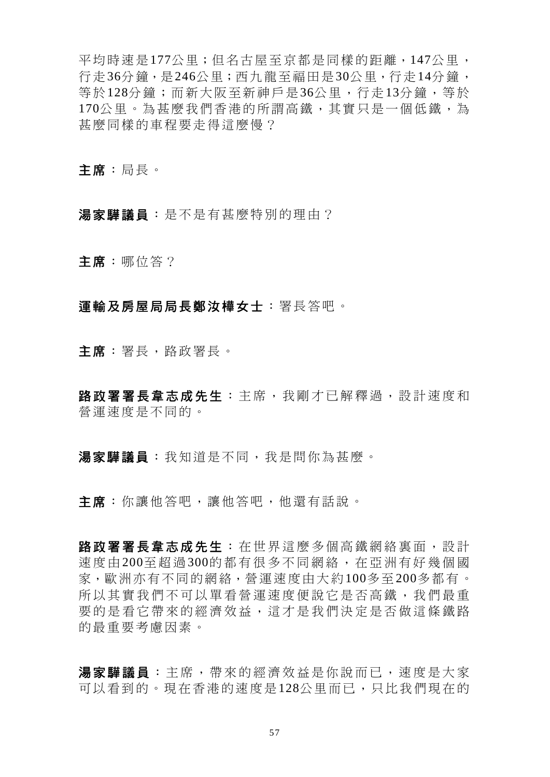平均時速是177公里;但名古屋至京都是同樣的距離,147公里, 行走36分鐘,是246公里;西九龍至福田是30公里,行走14分鐘, 等於128分鐘;而新大阪至新神戶是36公里,行走13分鐘,等於 170公里。為甚麼我們香港的所謂高鐵,其實只是一個低鐵,為 甚麼同樣的車程要走得這麼慢?

主席:局長。

湯家驊議員:是不是有甚麼特別的理由?

主席:哪位答?

#### 運輸及房屋局局長鄭汝樺女士:署長答吧。

主席:署長,路政署長。

路政署署長韋志成先生:主席,我剛才已解釋過,設計速度和 營運速度是不同的。

湯家驊議員:我知道是不同,我是問你為甚麼。

主席:你讓他答吧,讓他答吧,他還有話說。

路政署署長韋志成先生: 在世界這麼多個高鐵網絡裏面,設計 速度由 200至超過 300的都有很多不同網絡,在亞洲有好幾個國 家,歐洲亦有不同的網絡,營運速度由大約100多至200多都有。 所以其實我們不可以單看營運速度便說它是否高鐵,我們最重 要的是看它帶來的經濟效益,這才是我們決定是否做這條鐵路 的最重要考慮因素。

湯家驊議員:主席,帶來的經濟效益是你說而已,速度是大家 可以看到的。現在香港的速度是128公里而已,只比我們現在的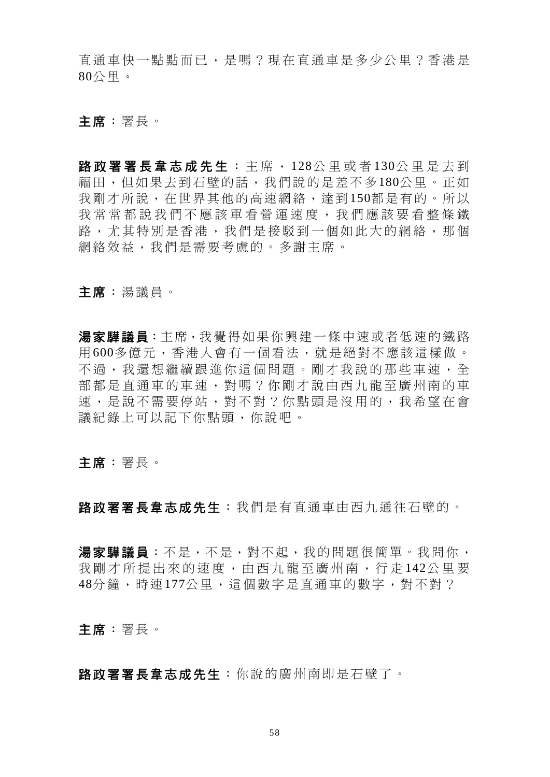直通車快一點點而已,是嗎?現在直通車是多少公里?香港是 80公里。

主席:署長。

路政署署長韋志成先生:主席, 128公里或者130公里是去到 福田,但如果去到石壁的話,我們說的是差不多180公里。正如 我剛才所說, 在世界其他的高速網絡, 達到150都是有的。所以 我常常都說我們不應該單看營運速度,我們應該要看整條鐵 路,尤其特別是香港,我們是接駁到一個如此大的網絡,那個 網絡效益,我們是需要考慮的。多謝主席。

#### 主席:湯議員。

湯家驊議員:主席,我覺得如果你興建一條中速或者低速的鐵路 用600多億元,香港人會有一個看法,就是絕對不應該這樣做。 不過,我還想繼續跟進你這個問題。剛才我說的那些車速,全 部都是直通車的車速,對嗎?你剛才說由西九龍至廣州南的車 速,是說不需要停站,對不對?你點頭是沒用的,我希望在會 議紀錄上可以記下你點頭,你說吧。

主席:署長。

路政署署長韋志成先生:我們是有直通車由西九通往石壁的。

湯家驊議員:不是,不是,對不起,我的問題很簡單。我問你, 我剛才所提出來的速度,由西九龍至廣州南,行走142公里要 48分鐘,時速177公里,這個數字是直通車的數字,對不對?

#### 主席:署長。

路政署署長韋志成先生:你說的廣州南即是石壁了。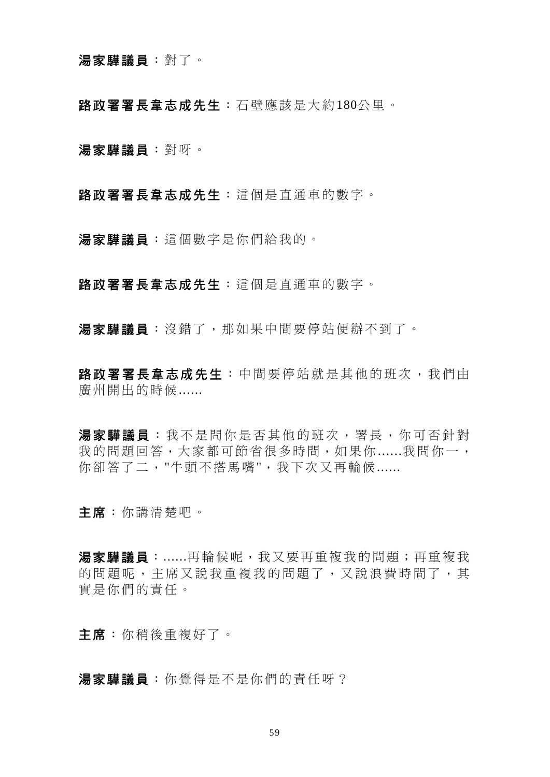#### 湯家驊議員:對了。

路政署署長韋志成先生:石壁應該是大約180公里。

湯家驊議員:對呀。

路政署署長韋志成先生:這個是直通車的數字。

湯家驊議員:這個數字是你們給我的。

路政署署長韋志成先生:這個是直通車的數字。

湯家驊議員:沒錯了,那如果中間要停站便辦不到了。

路政署署長韋志成先生:中間要停站就是其他的班次,我們由 廣州開出的時候......

湯家驊議員:我不是問你是否其他的班次,署長,你可否針對 我的問題回答,大家都可節省很多時間,如果你......我問你一, 你卻答了二,"牛頭不搭馬嘴",我下次又再輪候......

主席:你講清楚吧。

湯家驊議員:......再輪候呢,我又要再重複我的問題;再重複我 的問題呢,主席又說我重複我的問題了,又說浪費時間了,其 實是你們的責任。

主席:你稍後重複好了。

湯家驊議員:你覺得是不是你們的責任呀?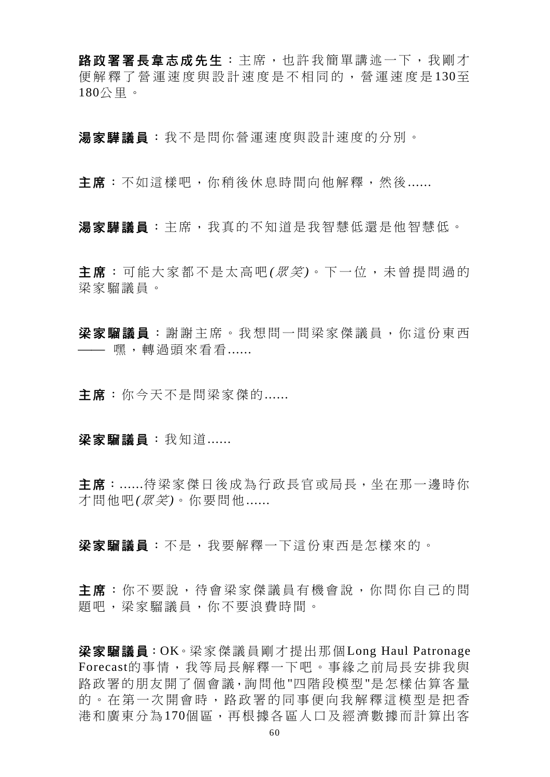路政署署長韋志成先生:主席,也許我簡單講述一下,我剛才 便解釋了營運速度與設計速度是不相同的,營運速度是130至 180公里。

湯家驊議員:我不是問你營運速度與設計速度的分別。

主席:不如這樣吧,你稍後休息時間向他解釋,然後......

湯家驊議員:主席,我真的不知道是我智慧低還是他智慧低。

主席:可能大家都不是太高吧(*眾笑*)。下一位,未曾提問過的 梁家騮議員。

梁家騮議員:謝謝主席。我想問一問梁家傑議員,你這份東西 **——** 嘿,轉渦頭來看看......

主席:你今天不是問梁家傑的......

梁家騮議員:我知道……

主席:......待梁家傑日後成為行政長官或局長,坐在那一邊時你 才問他吧*(*眾笑*)*。你要問他......

梁家騮議員:不是,我要解釋一下這份東西是怎樣來的。

主席:你不要說,待會梁家傑議員有機會說,你問你自己的問 題吧,梁家騮議員,你不要浪費時間。

梁家騮議員:OK。梁家傑議員剛才提出那個Long Haul Patronage Forecast的事情,我等局長解釋一下吧。事緣之前局長安排我與 路政署的朋友開了個會議,詢問他"四階段模型"是怎樣估算客量 的。在第一次開會時,路政署的同事便向我解釋這模型是把香 港和廣東分為170個區,再根據各區人口及經濟數據而計算出客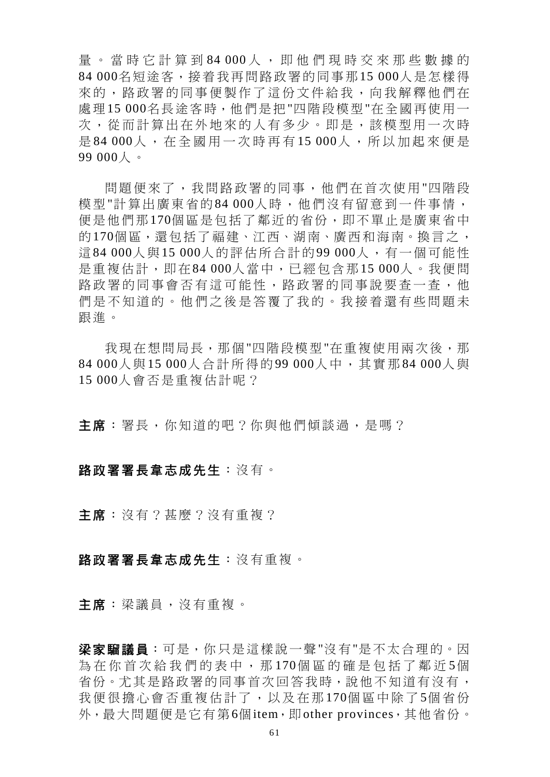量。當時它計算到 84 000人, 即他們現時交來那些數據的 84 000名短途客,接着我再問路政署的同事那15 000人是怎樣得 來的,路政署的同事便製作了這份文件給我,向我解釋他們在 處理15 000名長途客時,他們是把"四階段模型"在全國再使用一 次,從而計算出在外地來的人有多少。即是,該模型用一次時 是 84 000人, 在全國用一次時再有 15 000人, 所以加起來便是 99 000人。

問題便來了,我問路政署的同事,他們在首次使用"四階段 模型"計算出廣東省的84 000人時,他們沒有留意到一件事情, 便是他們那170個區是包括了鄰近的省份,即不單止是廣東省中 的170個區,還包括了福建、江西、湖南、廣西和海南。換言之, 這84 000人與15 000人的評估所合計的99 000人,有一個可能性 是重複估計,即在84 000人當中,已經包含那15 000人。我便問 路政署的同事會否有這可能性,路政署的同事說要查一查,他 們是不知道的。他們之後是答覆了我的。我接着還有些問題未 跟進。

我現在想問局長,那個"四階段模型"在重複使用兩次後,那 84 000人與 15 000人合計所得的 99 000人中, 其實那 84 000人與 15 000人會否是重複估計呢?

主席:署長,你知道的吧?你與他們傾談過,是嗎?

# 路政署署長韋志成先生:沒有。

主席:沒有?甚麼?沒有重複?

#### 路政署署長韋志成先生:沒有重複。

主席:梁議員,沒有重複。

梁家騮議員:可是,你只是這樣說一聲"沒有"是不太合理的。因 為在你首次給我們的表中,那 170個區的確是包括了鄰近 5個 省份。尤其是路政署的同事首次回答我時,說他不知道有沒有, 我便很擔心會否重複估計了,以及在那 170個區中除了 5個省份 外,最大問題便是它有第6個item,即other provinces,其他省份。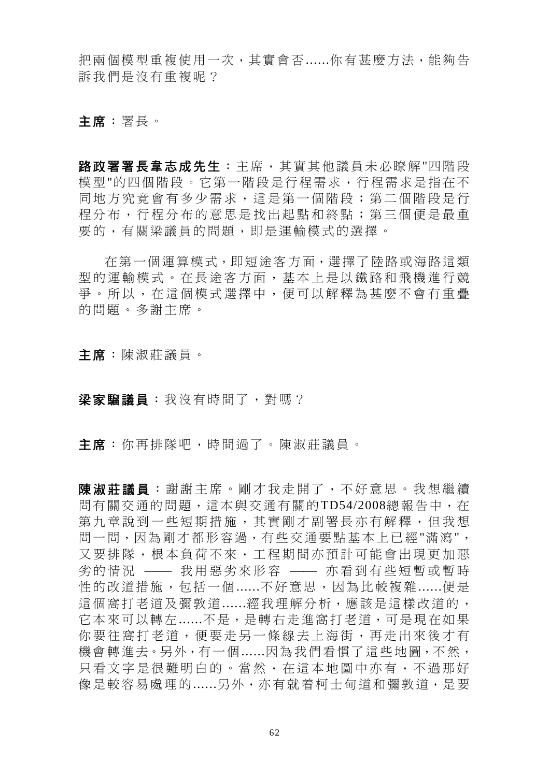把兩個模型重複使用一次,其實會否......你有甚麼方法,能夠告 訴我們是沒有重複呢?

主席:署長。

路政署署長韋志成先生:主席,其實其他議員未必瞭解"四階段 模型"的四個階段。它第一階段是行程需求,行程需求是指在不 同地方究竟會有多少需求,這是第一個階段;第二個階段是行 程分布,行程分布的意思是找出起點和終點;第三個便是最重 要的,有關梁議員的問題,即是運輸模式的選擇。

在第一個運算模式,即短途客方面,選擇了陸路或海路這類 型的運輸模式。在長途客方面,基本上是以鐵路和飛機進行競 爭。所以,在這個模式選擇中,便可以解釋為甚麼不會有重疊 的問題。多謝主席。

主席:陳淑莊議員。

梁家騮議員:我沒有時間了,對嗎?

主席:你再排隊吧,時間過了。陳淑莊議員。

陳淑莊議員 :謝謝主席。剛才我走開了,不好意思。我想繼續 問有關交通的問題,這本與交通有關的TD54/2008總報告中,在 第九章說到一些短期措施,其實剛才副署長亦有解釋,但我想 問一問,因為剛才都形容過,有些交通要點基本上已經"滿瀉", 又要排隊,根本負荷不來,工程期間亦預計可能會出現更加惡 劣的情況 —— 我用惡劣來形容 —— 亦看到有些短暫或暫時 性的改道措施,包括一個......不好意思,因為比較複雜......便是 這個窩打老道及彌敦道......經我理解分析,應該是這樣改道的, 它本來可以轉左......不是,是轉右走進窩打老道,可是現在如果 你要往窩打老道,便要走另一條線去上海街,再走出來後才有 機會轉進去。另外,有一個......因為我們看慣了這些地圖,不然, 只看文字是很難明白的。當然,在這本地圖中亦有,不過那好 像是較容易處理的 ......另外,亦有就着柯士甸道和彌敦道,是要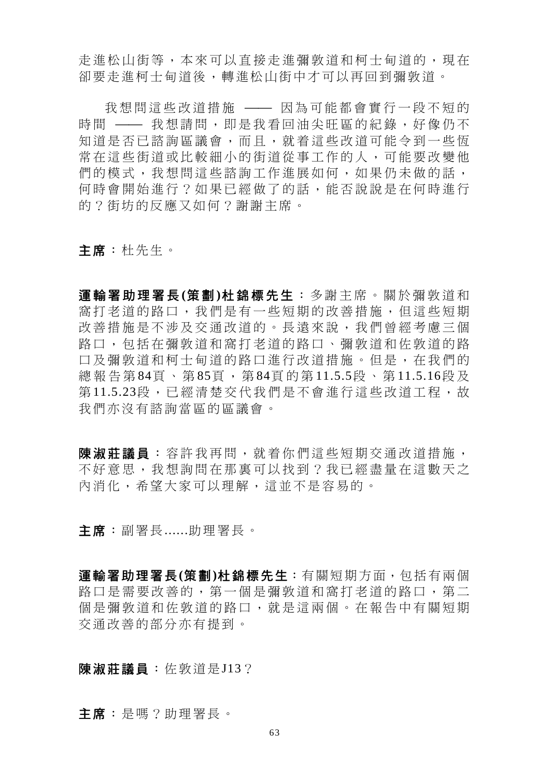走進松山街等,本來可以直接走進彌敦道和柯士甸道的,現在 卻要走進柯士甸道後,轉進松山街中才可以再回到彌敦道。

我想問這些改道措施 –– 因為可能都會實行一段不短的 時間 —— 我想請問,即是我看回油尖旺區的紀錄,好像仍不 知道是否已諮詢區議會,而且,就着這些改道可能令到一些恆 常在這些街道或比較細小的街道從事工作的人,可能要改變他 們的模式,我想問這些諮詢工作進展如何,如果仍未做的話, 何時會開始進行?如果已經做了的話,能否說說是在何時進行 的?街坊的反應又如何?謝謝主席。

主席:杜先生。

運輸署助理署長 **(**策 劃 **)**杜錦標先生 :多謝主席。關於彌敦道和 窩打老道的路口,我們是有一些短期的改善措施,但這些短期 改善措施是不涉及交通改道的。長遠來說,我們曾經考慮三個 路口,包括在彌敦道和窩打老道的路口、彌敦道和佐敦道的路 口及彌敦道和柯士甸道的路口進行改道措施。但是,在我們的 總報告第 84頁、第 85頁,第 84頁的第 11.5.5段、第 11.5.16段 及 第11.5.23段,已經清楚交代我們是不會進行這些改道工程,故 我們亦沒有諮詢當區的區議會。

陳淑莊議員: 容許我再問, 就着你們這些短期交通改道措施, 不好意思,我想詢問在那裏可以找到?我已經盡量在這數天之 內消化,希望大家可以理解,這並不是容易的。

主席:副署長......助理署長。

運輸署助理署長**(**策劃**)**杜錦標先生:有關短期方面,包括有兩個 路口是需要改善的,第一個是彌敦道和窩打老道的路口,第二 個是彌敦道和佐敦道的路口,就是這兩個。在報告中有關短期 交通改善的部分亦有提到。

陳淑莊議員:佐敦道是J13?

主席:是嗎?助理署長。